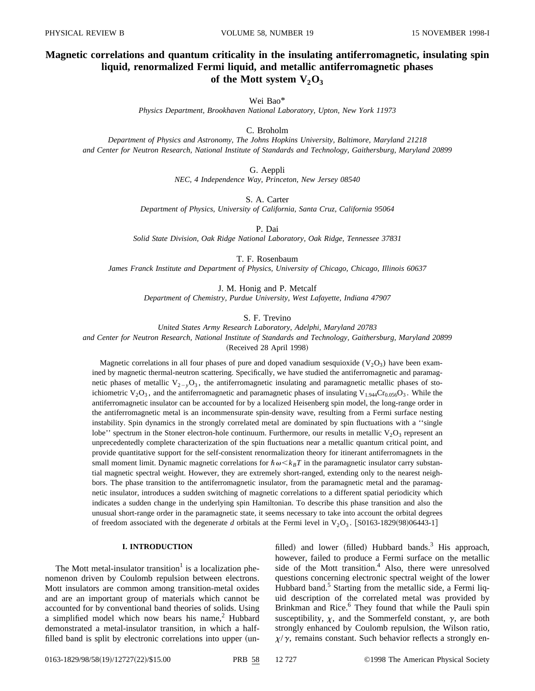# **Magnetic correlations and quantum criticality in the insulating antiferromagnetic, insulating spin liquid, renormalized Fermi liquid, and metallic antiferromagnetic phases** of the Mott system  $V_2O_3$

# Wei Bao\*

*Physics Department, Brookhaven National Laboratory, Upton, New York 11973*

# C. Broholm

*Department of Physics and Astronomy, The Johns Hopkins University, Baltimore, Maryland 21218 and Center for Neutron Research, National Institute of Standards and Technology, Gaithersburg, Maryland 20899*

G. Aeppli

*NEC, 4 Independence Way, Princeton, New Jersey 08540*

S. A. Carter

*Department of Physics, University of California, Santa Cruz, California 95064*

P. Dai

*Solid State Division, Oak Ridge National Laboratory, Oak Ridge, Tennessee 37831*

T. F. Rosenbaum

*James Franck Institute and Department of Physics, University of Chicago, Chicago, Illinois 60637*

J. M. Honig and P. Metcalf *Department of Chemistry, Purdue University, West Lafayette, Indiana 47907*

S. F. Trevino

*United States Army Research Laboratory, Adelphi, Maryland 20783*

*and Center for Neutron Research, National Institute of Standards and Technology, Gaithersburg, Maryland 20899* (Received 28 April 1998)

Magnetic correlations in all four phases of pure and doped vanadium sesquioxide  $(V_2O_3)$  have been examined by magnetic thermal-neutron scattering. Specifically, we have studied the antiferromagnetic and paramagnetic phases of metallic  $V_{2-y}O_3$ , the antiferromagnetic insulating and paramagnetic metallic phases of stoichiometric  $V_2O_3$ , and the antiferromagnetic and paramagnetic phases of insulating  $V_{1.944}Cr_{0.056}O_3$ . While the antiferromagnetic insulator can be accounted for by a localized Heisenberg spin model, the long-range order in the antiferromagnetic metal is an incommensurate spin-density wave, resulting from a Fermi surface nesting instability. Spin dynamics in the strongly correlated metal are dominated by spin fluctuations with a ''single lobe'' spectrum in the Stoner electron-hole continuum. Furthermore, our results in metallic  $V_2O_3$  represent an unprecedentedly complete characterization of the spin fluctuations near a metallic quantum critical point, and provide quantitative support for the self-consistent renormalization theory for itinerant antiferromagnets in the small moment limit. Dynamic magnetic correlations for  $\hbar \omega \langle k_B T \rangle$  in the paramagnetic insulator carry substantial magnetic spectral weight. However, they are extremely short-ranged, extending only to the nearest neighbors. The phase transition to the antiferromagnetic insulator, from the paramagnetic metal and the paramagnetic insulator, introduces a sudden switching of magnetic correlations to a different spatial periodicity which indicates a sudden change in the underlying spin Hamiltonian. To describe this phase transition and also the unusual short-range order in the paramagnetic state, it seems necessary to take into account the orbital degrees of freedom associated with the degenerate *d* orbitals at the Fermi level in  $V_2O_3$ . [S0163-1829(98)06443-1]

# **I. INTRODUCTION**

The Mott metal-insulator transition<sup>1</sup> is a localization phenomenon driven by Coulomb repulsion between electrons. Mott insulators are common among transition-metal oxides and are an important group of materials which cannot be accounted for by conventional band theories of solids. Using a simplified model which now bears his name, $2$  Hubbard demonstrated a metal-insulator transition, in which a halffilled band is split by electronic correlations into upper (unfilled) and lower (filled) Hubbard bands.<sup>3</sup> His approach, however, failed to produce a Fermi surface on the metallic side of the Mott transition.<sup>4</sup> Also, there were unresolved questions concerning electronic spectral weight of the lower Hubbard band.<sup>5</sup> Starting from the metallic side, a Fermi liquid description of the correlated metal was provided by Brinkman and Rice.<sup>6</sup> They found that while the Pauli spin susceptibility,  $\chi$ , and the Sommerfeld constant,  $\gamma$ , are both strongly enhanced by Coulomb repulsion, the Wilson ratio,  $\chi/\gamma$ , remains constant. Such behavior reflects a strongly en-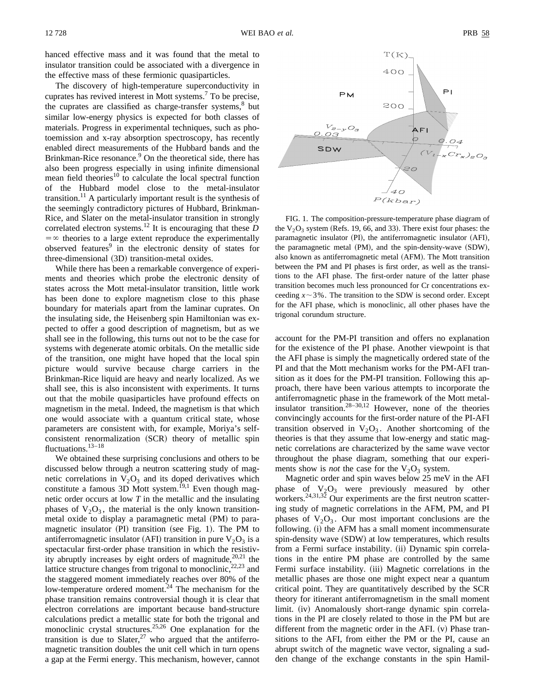hanced effective mass and it was found that the metal to insulator transition could be associated with a divergence in the effective mass of these fermionic quasiparticles.

The discovery of high-temperature superconductivity in cuprates has revived interest in Mott systems.<sup>7</sup> To be precise, the cuprates are classified as charge-transfer systems, $8$  but similar low-energy physics is expected for both classes of materials. Progress in experimental techniques, such as photoemission and x-ray absorption spectroscopy, has recently enabled direct measurements of the Hubbard bands and the Brinkman-Rice resonance.<sup>9</sup> On the theoretical side, there has also been progress especially in using infinite dimensional mean field theories $10$  to calculate the local spectral function of the Hubbard model close to the metal-insulator transition.<sup>11</sup> A particularly important result is the synthesis of the seemingly contradictory pictures of Hubbard, Brinkman-Rice, and Slater on the metal-insulator transition in strongly correlated electron systems.<sup>12</sup> It is encouraging that these  $D$  $=$   $\infty$  theories to a large extent reproduce the experimentally observed features<sup>9</sup> in the electronic density of states for three-dimensional (3D) transition-metal oxides.

While there has been a remarkable convergence of experiments and theories which probe the electronic density of states across the Mott metal-insulator transition, little work has been done to explore magnetism close to this phase boundary for materials apart from the laminar cuprates. On the insulating side, the Heisenberg spin Hamiltonian was expected to offer a good description of magnetism, but as we shall see in the following, this turns out not to be the case for systems with degenerate atomic orbitals. On the metallic side of the transition, one might have hoped that the local spin picture would survive because charge carriers in the Brinkman-Rice liquid are heavy and nearly localized. As we shall see, this is also inconsistent with experiments. It turns out that the mobile quasiparticles have profound effects on magnetism in the metal. Indeed, the magnetism is that which one would associate with a quantum critical state, whose parameters are consistent with, for example, Moriya's selfconsistent renormalization (SCR) theory of metallic spin fluctuations.<sup>13-18</sup>

We obtained these surprising conclusions and others to be discussed below through a neutron scattering study of magnetic correlations in  $V_2O_3$  and its doped derivatives which constitute a famous  $3\overline{D}$  Mott system.<sup>19,1</sup> Even though magnetic order occurs at low *T* in the metallic and the insulating phases of  $V_2O_3$ , the material is the only known transitionmetal oxide to display a paramagnetic metal (PM) to paramagnetic insulator  $(PI)$  transition (see Fig. 1). The PM to antiferromagnetic insulator (AFI) transition in pure  $V_2O_3$  is a spectacular first-order phase transition in which the resistivity abruptly increases by eight orders of magnitude, $20,21$  the lattice structure changes from trigonal to monoclinic,  $22,23$  and the staggered moment immediately reaches over 80% of the low-temperature ordered moment.<sup>24</sup> The mechanism for the phase transition remains controversial though it is clear that electron correlations are important because band-structure calculations predict a metallic state for both the trigonal and monoclinic crystal structures.<sup>25,26</sup> One explanation for the transition is due to Slater,<sup>27</sup> who argued that the antiferromagnetic transition doubles the unit cell which in turn opens a gap at the Fermi energy. This mechanism, however, cannot



FIG. 1. The composition-pressure-temperature phase diagram of the  $V_2O_3$  system (Refs. 19, 66, and 33). There exist four phases: the paramagnetic insulator (PI), the antiferromagnetic insulator (AFI), the paramagnetic metal  $(PM)$ , and the spin-density-wave  $(SDW)$ , also known as antiferromagnetic metal (AFM). The Mott transition between the PM and PI phases is first order, as well as the transitions to the AFI phase. The first-order nature of the latter phase transition becomes much less pronounced for Cr concentrations exceeding  $x \sim 3\%$ . The transition to the SDW is second order. Except for the AFI phase, which is monoclinic, all other phases have the trigonal corundum structure.

account for the PM-PI transition and offers no explanation for the existence of the PI phase. Another viewpoint is that the AFI phase is simply the magnetically ordered state of the PI and that the Mott mechanism works for the PM-AFI transition as it does for the PM-PI transition. Following this approach, there have been various attempts to incorporate the antiferromagnetic phase in the framework of the Mott metalinsulator transition.<sup>28–30,12</sup> However, none of the theories convincingly accounts for the first-order nature of the PI-AFI transition observed in  $V_2O_3$ . Another shortcoming of the theories is that they assume that low-energy and static magnetic correlations are characterized by the same wave vector throughout the phase diagram, something that our experiments show is *not* the case for the  $V_2O_3$  system.

Magnetic order and spin waves below 25 meV in the AFI phase of  $V_2O_3$  were previously measured by other workers.<sup>24,31,32</sup> Our experiments are the first neutron scattering study of magnetic correlations in the AFM, PM, and PI phases of  $V_2O_3$ . Our most important conclusions are the following. (i) the AFM has a small moment incommensurate spin-density wave (SDW) at low temperatures, which results from a Fermi surface instability. (ii) Dynamic spin correlations in the entire PM phase are controlled by the same Fermi surface instability. (iii) Magnetic correlations in the metallic phases are those one might expect near a quantum critical point. They are quantitatively described by the SCR theory for itinerant antiferromagnetism in the small moment limit. (iv) Anomalously short-range dynamic spin correlations in the PI are closely related to those in the PM but are different from the magnetic order in the AFI.  $(v)$  Phase transitions to the AFI, from either the PM or the PI, cause an abrupt switch of the magnetic wave vector, signaling a sudden change of the exchange constants in the spin Hamil-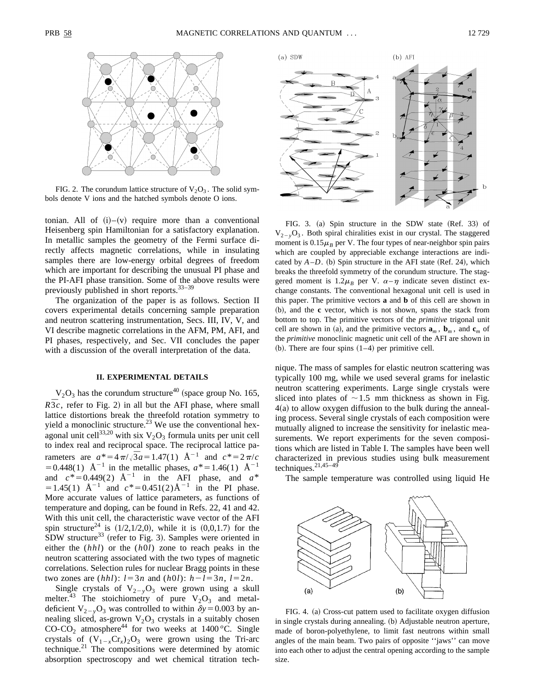

FIG. 2. The corundum lattice structure of  $V_2O_3$ . The solid symbols denote V ions and the hatched symbols denote O ions.

tonian. All of  $(i)$ – $(v)$  require more than a conventional Heisenberg spin Hamiltonian for a satisfactory explanation. In metallic samples the geometry of the Fermi surface directly affects magnetic correlations, while in insulating samples there are low-energy orbital degrees of freedom which are important for describing the unusual PI phase and the PI-AFI phase transition. Some of the above results were previously published in short reports.33–39

The organization of the paper is as follows. Section II covers experimental details concerning sample preparation and neutron scattering instrumentation, Secs. III, IV, V, and VI describe magnetic correlations in the AFM, PM, AFI, and PI phases, respectively, and Sec. VII concludes the paper with a discussion of the overall interpretation of the data.

# **II. EXPERIMENTAL DETAILS**

 $V<sub>2</sub>O<sub>3</sub>$  has the corundum structure<sup>40</sup> (space group No. 165,  $R\bar{3}c$ , refer to Fig. 2) in all but the AFI phase, where small lattice distortions break the threefold rotation symmetry to yield a monoclinic structure.<sup>23</sup> We use the conventional hexagonal unit cell $^{33,20}$  with six  $V_2O_3$  formula units per unit cell to index real and reciprocal space. The reciprocal lattice parameters are  $a^* = 4\pi/\sqrt{3}a = 1.47(1)$  Å<sup>-1</sup> and  $c^* = 2\pi/c$  $=0.448(1)$  Å<sup>-1</sup> in the metallic phases,  $a^* = 1.46(1)$  Å<sup>-1</sup> and  $c^* = 0.449(2)$   $\mathring{A}^{-1}$  in the AFI phase, and  $a^*$  $=1.45(1)$   $\text{\AA}^{-1}$  and  $c^* = 0.451(2)\text{\AA}^{-1}$  in the PI phase. More accurate values of lattice parameters, as functions of temperature and doping, can be found in Refs. 22, 41 and 42. With this unit cell, the characteristic wave vector of the AFI spin structure<sup>24</sup> is  $(1/2,1/2,0)$ , while it is  $(0,0,1.7)$  for the  $SDW$  structure<sup>33</sup> (refer to Fig. 3). Samples were oriented in either the (*hhl*) or the (*h*0*l*) zone to reach peaks in the neutron scattering associated with the two types of magnetic correlations. Selection rules for nuclear Bragg points in these two zones are  $(hhl)$ :  $l=3n$  and  $(h0l)$ :  $h-l=3n$ ,  $l=2n$ .

Single crystals of  $V_{2-v}O_3$  were grown using a skull melter.<sup>43</sup> The stoichiometry of pure  $V_2O_3$  and metaldeficient  $V_{2-y}O_3$  was controlled to within  $\delta y = 0.003$  by annealing sliced, as-grown  $V_2O_3$  crystals in a suitably chosen  $CO-CO<sub>2</sub>$  atmosphere<sup>44</sup> for two weeks at 1400 <sup>o</sup>C. Single crystals of  $(V_{1-x}Cr_x)_2O_3$  were grown using the Tri-arc technique.21 The compositions were determined by atomic absorption spectroscopy and wet chemical titration tech-



FIG. 3. (a) Spin structure in the SDW state (Ref. 33) of  $V_{2-y}O_3$ . Both spiral chiralities exist in our crystal. The staggered moment is  $0.15\mu$ <sup>B</sup> per V. The four types of near-neighbor spin pairs which are coupled by appreciable exchange interactions are indicated by  $A-D$ . (b) Spin structure in the AFI state (Ref. 24), which breaks the threefold symmetry of the corundum structure. The staggered moment is  $1.2\mu$ <sup>B</sup> per V.  $\alpha-\eta$  indicate seven distinct exchange constants. The conventional hexagonal unit cell is used in this paper. The primitive vectors **a** and **b** of this cell are shown in ~b!, and the **c** vector, which is not shown, spans the stack from bottom to top. The primitive vectors of the *primitive* trigonal unit cell are shown in (a), and the primitive vectors  $\mathbf{a}_m$ ,  $\mathbf{b}_m$ , and  $\mathbf{c}_m$  of the *primitive* monoclinic magnetic unit cell of the AFI are shown in (b). There are four spins  $(1-4)$  per primitive cell.

nique. The mass of samples for elastic neutron scattering was typically 100 mg, while we used several grams for inelastic neutron scattering experiments. Large single crystals were sliced into plates of  $\sim$  1.5 mm thickness as shown in Fig.  $4(a)$  to allow oxygen diffusion to the bulk during the annealing process. Several single crystals of each composition were mutually aligned to increase the sensitivity for inelastic measurements. We report experiments for the seven compositions which are listed in Table I. The samples have been well characterized in previous studies using bulk measurement techniques. $21,45-49$ 

The sample temperature was controlled using liquid He



FIG. 4. (a) Cross-cut pattern used to facilitate oxygen diffusion in single crystals during annealing. (b) Adjustable neutron aperture, made of boron-polyethylene, to limit fast neutrons within small angles of the main beam. Two pairs of opposite ''jaws'' can move into each other to adjust the central opening according to the sample size.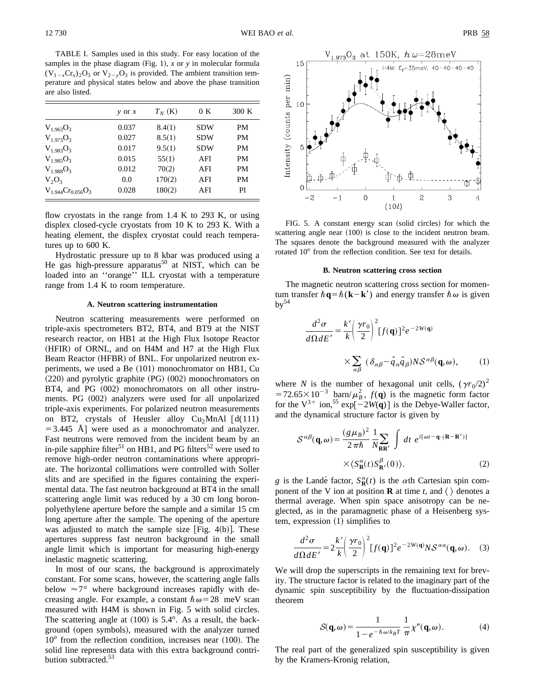TABLE I. Samples used in this study. For easy location of the samples in the phase diagram  $(Fig. 1)$ , *x* or *y* in molecular formula  $(V_{1-x}Cr_{x})_2O_3$  or  $V_{2-x}O_3$  is provided. The ambient transition temperature and physical states below and above the phase transition are also listed.

|                          | $y$ or $x$ | $T_N$ (K) | 0 K        | 300 K     |
|--------------------------|------------|-----------|------------|-----------|
| $V_{1.963}O_3$           | 0.037      | 8.4(1)    | <b>SDW</b> | <b>PM</b> |
| $V_{1.973}O_{3.7}$       | 0.027      | 8.5(1)    | <b>SDW</b> | <b>PM</b> |
| $V_{1.983}O_3$           | 0.017      | 9.5(1)    | <b>SDW</b> | <b>PM</b> |
| $V_{1.985}O_3$           | 0.015      | 55(1)     | AFI        | <b>PM</b> |
| $V_{1.988}O_{3.7}$       | 0.012      | 70(2)     | AFI        | <b>PM</b> |
| $V_2O_3$                 | 0.0        | 170(2)    | AFI        | <b>PM</b> |
| $V_{1.944}Cr_{0.056}O_3$ | 0.028      | 180(2)    | AFI        | PI        |

flow cryostats in the range from 1.4 K to 293 K, or using displex closed-cycle cryostats from 10 K to 293 K. With a heating element, the displex cryostat could reach temperatures up to 600 K.

Hydrostatic pressure up to 8 kbar was produced using a He gas high-pressure apparatus<sup>50</sup> at NIST, which can be loaded into an ''orange'' ILL cryostat with a temperature range from 1.4 K to room temperature.

### **A. Neutron scattering instrumentation**

Neutron scattering measurements were performed on triple-axis spectrometers BT2, BT4, and BT9 at the NIST research reactor, on HB1 at the High Flux Isotope Reactor  $(HFIR)$  of ORNL, and on H4M and H7 at the High Flux Beam Reactor (HFBR) of BNL. For unpolarized neutron experiments, we used a Be (101) monochromator on HB1, Cu  $(220)$  and pyrolytic graphite  $(PG)$   $(002)$  monochromators on BT4, and PG  $(002)$  monochromators on all other instruments. PG (002) analyzers were used for all unpolarized triple-axis experiments. For polarized neutron measurements on BT2, crystals of Heusler alloy  $Cu<sub>2</sub>MnAl [d(111)$  $=$  3.445 Å were used as a monochromator and analyzer. Fast neutrons were removed from the incident beam by an in-pile sapphire filter<sup>51</sup> on HB1, and PG filters<sup>52</sup> were used to remove high-order neutron contaminations where appropriate. The horizontal collimations were controlled with Soller slits and are specified in the figures containing the experimental data. The fast neutron background at BT4 in the small scattering angle limit was reduced by a 30 cm long boronpolyethylene aperture before the sample and a similar 15 cm long aperture after the sample. The opening of the aperture was adjusted to match the sample size  $[Fig. 4(b)].$  These apertures suppress fast neutron background in the small angle limit which is important for measuring high-energy inelastic magnetic scattering.

In most of our scans, the background is approximately constant. For some scans, however, the scattering angle falls below  $\approx 7^{\circ}$  where background increases rapidly with decreasing angle. For example, a constant  $\hbar \omega = 28$  meV scan measured with H4M is shown in Fig. 5 with solid circles. The scattering angle at  $(100)$  is  $5.4^\circ$ . As a result, the background (open symbols), measured with the analyzer turned  $10<sup>o</sup>$  from the reflection condition, increases near  $(100)$ . The solid line represents data with this extra background contribution subtracted.<sup>53</sup>



FIG. 5. A constant energy scan (solid circles) for which the scattering angle near  $(100)$  is close to the incident neutron beam. The squares denote the background measured with the analyzer rotated 10<sup>o</sup> from the reflection condition. See text for details.

#### **B. Neutron scattering cross section**

The magnetic neutron scattering cross section for momentum transfer  $\hbar \mathbf{q} = \hbar (\mathbf{k} - \mathbf{k}')$  and energy transfer  $\hbar \omega$  is given  $bv^{54}$ 

$$
\frac{d^2\sigma}{d\Omega dE'} = \frac{k'}{k} \left(\frac{\gamma r_0}{2}\right)^2 [f(\mathbf{q})]^2 e^{-2W(\mathbf{q})}
$$

$$
\times \sum_{\alpha\beta} (\delta_{\alpha\beta} - \hat{q}_{\alpha}\hat{q}_{\beta}) N S^{\alpha\beta}(\mathbf{q}, \omega), \qquad (1)
$$

where *N* is the number of hexagonal unit cells,  $(\gamma r_0/2)^2$  $=72.65\times10^{-3}$  barn/ $\mu_B^2$ ,  $f(\mathbf{q})$  is the magnetic form factor for the  $V^{3+}$  ion,<sup>55</sup> exp $\left[-2W(q)\right]$  is the Debye-Waller factor, and the dynamical structure factor is given by

$$
S^{\alpha\beta}(\mathbf{q},\omega) = \frac{(g\mu_B)^2}{2\pi\hbar} \frac{1}{N_{\mathbf{RR'}}} \int dt \ e^{i[\omega t - \mathbf{q}\cdot(\mathbf{R}-\mathbf{R'})]} \times \langle S^{\alpha}_{\mathbf{R}}(t) S^{\beta}_{\mathbf{R'}}(0) \rangle.
$$
 (2)

*g* is the Landé factor,  $S_{\mathbf{R}}^{\alpha}(t)$  is the  $\alpha$ th Cartesian spin component of the V ion at position **R** at time *t*, and  $\langle \rangle$  denotes a thermal average. When spin space anisotropy can be neglected, as in the paramagnetic phase of a Heisenberg system, expression  $(1)$  simplifies to

$$
\frac{d^2\sigma}{d\Omega dE'} = 2\frac{k'}{k} \left(\frac{\gamma r_0}{2}\right)^2 [f(\mathbf{q})]^2 e^{-2W(\mathbf{q})} N \mathcal{S}^{\alpha\alpha}(\mathbf{q},\omega). \quad (3)
$$

We will drop the superscripts in the remaining text for brevity. The structure factor is related to the imaginary part of the dynamic spin susceptibility by the fluctuation-dissipation theorem

$$
S(\mathbf{q},\omega) = \frac{1}{1 - e^{-\hbar\omega/k_B T}} \frac{1}{\pi} \chi''(\mathbf{q},\omega).
$$
 (4)

The real part of the generalized spin susceptibility is given by the Kramers-Kronig relation,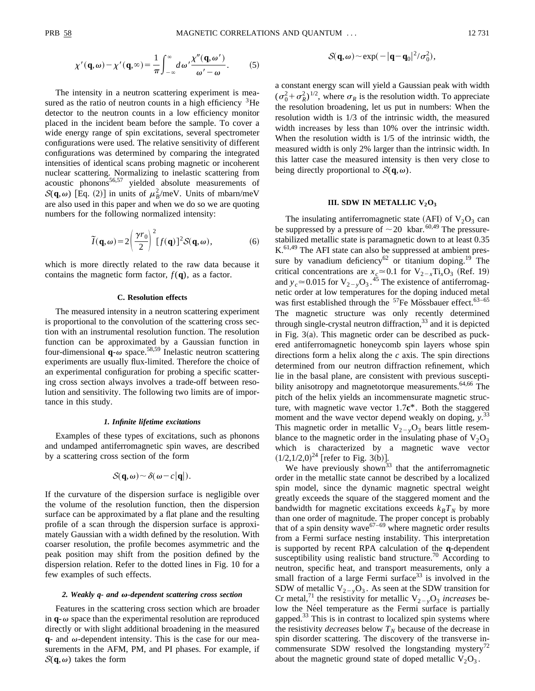$$
\chi'(\mathbf{q},\omega) - \chi'(\mathbf{q},\infty) = \frac{1}{\pi} \int_{-\infty}^{\infty} d\omega' \frac{\chi''(\mathbf{q},\omega')}{\omega' - \omega}.
$$
 (5)

The intensity in a neutron scattering experiment is measured as the ratio of neutron counts in a high efficiency  ${}^{3}$ He detector to the neutron counts in a low efficiency monitor placed in the incident beam before the sample. To cover a wide energy range of spin excitations, several spectrometer configurations were used. The relative sensitivity of different configurations was determined by comparing the integrated intensities of identical scans probing magnetic or incoherent nuclear scattering. Normalizing to inelastic scattering from  $\frac{1}{2}$  accustic phonons<sup>56,57</sup> yielded absolute measurements of  $S(\mathbf{q}, \omega)$  [Eq. (2)] in units of  $\mu_B^2$ /meV. Units of mbarn/meV are also used in this paper and when we do so we are quoting numbers for the following normalized intensity:

$$
\widetilde{I}(\mathbf{q},\omega) = 2\left(\frac{\gamma r_0}{2}\right)^2 [f(\mathbf{q})]^2 \mathcal{S}(\mathbf{q},\omega),\tag{6}
$$

which is more directly related to the raw data because it contains the magnetic form factor,  $f(\mathbf{q})$ , as a factor.

# **C. Resolution effects**

The measured intensity in a neutron scattering experiment is proportional to the convolution of the scattering cross section with an instrumental resolution function. The resolution function can be approximated by a Gaussian function in four-dimensional  $\mathbf{q}$ - $\omega$  space.<sup>58,59</sup> Inelastic neutron scattering experiments are usually flux-limited. Therefore the choice of an experimental configuration for probing a specific scattering cross section always involves a trade-off between resolution and sensitivity. The following two limits are of importance in this study.

#### *1. Infinite lifetime excitations*

Examples of these types of excitations, such as phonons and undamped antiferromagnetic spin waves, are described by a scattering cross section of the form

$$
\mathcal{S}(\mathbf{q},\omega) \sim \delta(\omega - c|\mathbf{q}|).
$$

If the curvature of the dispersion surface is negligible over the volume of the resolution function, then the dispersion surface can be approximated by a flat plane and the resulting profile of a scan through the dispersion surface is approximately Gaussian with a width defined by the resolution. With coarser resolution, the profile becomes asymmetric and the peak position may shift from the position defined by the dispersion relation. Refer to the dotted lines in Fig. 10 for a few examples of such effects.

#### *2. Weakly q- and* <sup>v</sup>*-dependent scattering cross section*

Features in the scattering cross section which are broader in  $q$ - $\omega$  space than the experimental resolution are reproduced directly or with slight additional broadening in the measured  $q$ - and  $\omega$ -dependent intensity. This is the case for our measurements in the AFM, PM, and PI phases. For example, if  $S(q,\omega)$  takes the form

$$
\mathcal{S}(\mathbf{q},\omega) \sim \exp(-|\mathbf{q}-\mathbf{q}_0|^2/\sigma_0^2),
$$

a constant energy scan will yield a Gaussian peak with width  $(\sigma_0^2 + \sigma_R^2)^{1/2}$ , where  $\sigma_R$  is the resolution width. To appreciate the resolution broadening, let us put in numbers: When the resolution width is 1/3 of the intrinsic width, the measured width increases by less than 10% over the intrinsic width. When the resolution width is 1/5 of the intrinsic width, the measured width is only 2% larger than the intrinsic width. In this latter case the measured intensity is then very close to being directly proportional to  $S(\mathbf{q},\omega)$ .

### **III. SDW IN METALLIC**  $V_2O_3$

The insulating antiferromagnetic state (AFI) of  $V_2O_3$  can be suppressed by a pressure of  $\sim$  20 kbar.<sup>60,49</sup> The pressurestabilized metallic state is paramagnetic down to at least 0.35  $K<sup>61,49</sup>$  The AFI state can also be suppressed at ambient pressure by vanadium deficiency<sup>62</sup> or titanium doping.<sup>19</sup> The critical concentrations are  $x_c \approx 0.1$  for  $V_{2-x}Ti_xO_3$  (Ref. 19) and  $y_c \approx 0.015$  for  $V_{2-y}O_3$ .<sup>45</sup> The existence of antiferromagnetic order at low temperatures for the doping induced metal was first established through the  $57$ Fe Mössbauer effect.<sup>63-65</sup> The magnetic structure was only recently determined through single-crystal neutron diffraction,  $33$  and it is depicted in Fig.  $3(a)$ . This magnetic order can be described as puckered antiferromagnetic honeycomb spin layers whose spin directions form a helix along the *c* axis. The spin directions determined from our neutron diffraction refinement, which lie in the basal plane, are consistent with previous susceptibility anisotropy and magnetotorque measurements.<sup>64,66</sup> The pitch of the helix yields an incommensurate magnetic structure, with magnetic wave vector 1.7**c**\*. Both the staggered moment and the wave vector depend weakly on doping, *y*. 33 This magnetic order in metallic  $V_{2-y}O_3$  bears little resemblance to the magnetic order in the insulating phase of  $V_2O_3$ which is characterized by a magnetic wave vector  $(1/2,1/2,0)^{24}$  [refer to Fig. 3(b)].

We have previously shown<sup>33</sup> that the antiferromagnetic order in the metallic state cannot be described by a localized spin model, since the dynamic magnetic spectral weight greatly exceeds the square of the staggered moment and the bandwidth for magnetic excitations exceeds  $k_B T_N$  by more than one order of magnitude. The proper concept is probably that of a spin density wave $67-69$  where magnetic order results from a Fermi surface nesting instability. This interpretation is supported by recent RPA calculation of the **q**-dependent susceptibility using realistic band structure.<sup>70</sup> According to neutron, specific heat, and transport measurements, only a small fraction of a large Fermi surface<sup>33</sup> is involved in the SDW of metallic  $V_{2-y}O_3$ . As seen at the SDW transition for Cr metal,<sup>71</sup> the resistivity for metallic  $V_{2-y}O_3$  *increases* below the Néel temperature as the Fermi surface is partially gapped.<sup>33</sup> This is in contrast to localized spin systems where the resistivity *decreases* below  $T_N$  because of the decrease in spin disorder scattering. The discovery of the transverse incommensurate SDW resolved the longstanding mystery<sup>72</sup> about the magnetic ground state of doped metallic  $V_2O_3$ .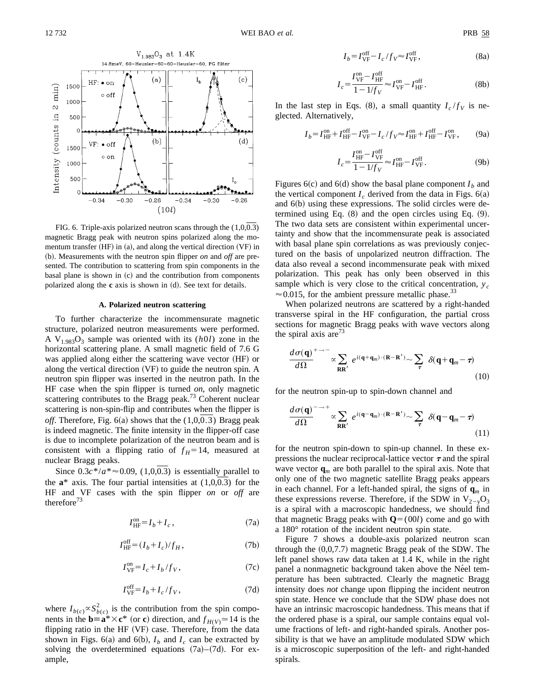$min$ )

 $\infty$ 

Intensity (counts in

 $-0.34$ 

 $-0.30$ 



 $-0.34$ 

 $-0.30$ 

 $-0.26$ 

FIG. 6. Triple-axis polarized neutron scans through the (1,0,0.3) magnetic Bragg peak with neutron spins polarized along the momentum transfer  $(HF)$  in  $(a)$ , and along the vertical direction  $(VF)$  in ~b!. Measurements with the neutron spin flipper *on* and *off* are presented. The contribution to scattering from spin components in the basal plane is shown in  $(c)$  and the contribution from components polarized along the **c** axis is shown in (d). See text for details.

 $-0.26$ 

 $(10l)$ 

#### **A. Polarized neutron scattering**

To further characterize the incommensurate magnetic structure, polarized neutron measurements were performed. A  $V_{1.983}O_3$  sample was oriented with its  $(h0l)$  zone in the horizontal scattering plane. A small magnetic field of 7.6 G was applied along either the scattering wave vector (HF) or along the vertical direction  $(VF)$  to guide the neutron spin. A neutron spin flipper was inserted in the neutron path. In the HF case when the spin flipper is turned *on*, only magnetic scattering contributes to the Bragg peak.<sup>73</sup> Coherent nuclear scattering is non-spin-flip and contributes when the flipper is *off.* Therefore, Fig.  $6(a)$  shows that the  $(1,0,0.3)$  Bragg peak is indeed magnetic. The finite intensity in the flipper-off case is due to incomplete polarization of the neutron beam and is consistent with a flipping ratio of  $f_H = 14$ , measured at nuclear Bragg peaks.

Since  $0.3c^*/a^* \approx 0.09$ , (1,0,0.3) is essentially parallel to the  $a^*$  axis. The four partial intensities at  $(1,0,0.3)$  for the HF and VF cases with the spin flipper *on* or *off* are therefore $^{73}$ 

$$
I_{\rm HF}^{\rm on} = I_b + I_c \,,\tag{7a}
$$

$$
I_{\rm HF}^{\rm off} = (I_b + I_c) / f_H, \qquad (7b)
$$

$$
I_{\rm VF}^{\rm on} = I_c + I_b / f_V, \qquad (7c)
$$

$$
I_{\rm VF}^{\rm off} = I_b + I_c / f_V, \qquad (7d)
$$

where  $I_{b(c)} \propto S_{b(c)}^2$  is the contribution from the spin components in the **b** $\equiv$ **a**\* $\times$ **c**\* (or **c**) direction, and  $f$ <sub>*H*(*V*)</sub> $\approx$  14 is the flipping ratio in the HF  $(VF)$  case. Therefore, from the data shown in Figs. 6(a) and 6(b),  $I_b$  and  $I_c$  can be extracted by solving the overdetermined equations  $(7a)$ – $(7d)$ . For example,

$$
I_b = I_{\rm VF}^{\rm off} - I_c / f_V \approx I_{\rm VF}^{\rm off},\tag{8a}
$$

$$
I_c = \frac{I_{\rm VF}^{\rm on} - I_{\rm HF}^{\rm off}}{1 - 1/f_V} \approx I_{\rm VF}^{\rm on} - I_{\rm HF}^{\rm off}.
$$
 (8b)

In the last step in Eqs. (8), a small quantity  $I_c/f_V$  is neglected. Alternatively,

$$
I_b = I_{\text{HF}}^{\text{on}} + I_{\text{HF}}^{\text{off}} - I_{\text{VF}}^{\text{on}} - I_c / f_V \approx I_{\text{HF}}^{\text{on}} + I_{\text{HF}}^{\text{off}} - I_{\text{VF}}^{\text{on}},\tag{9a}
$$

$$
I_c = \frac{I_{\text{HF}}^{\text{on}} - I_{\text{VF}}^{\text{off}}}{1 - 1/f_V} \approx I_{\text{HF}}^{\text{on}} - I_{\text{VF}}^{\text{off}}.
$$
 (9b)

Figures  $6(c)$  and  $6(d)$  show the basal plane component  $I_b$  and the vertical component  $I_c$  derived from the data in Figs.  $6(a)$ and  $6(b)$  using these expressions. The solid circles were determined using Eq.  $(8)$  and the open circles using Eq.  $(9)$ . The two data sets are consistent within experimental uncertainty and show that the incommensurate peak is associated with basal plane spin correlations as was previously conjectured on the basis of unpolarized neutron diffraction. The data also reveal a second incommensurate peak with mixed polarization. This peak has only been observed in this sample which is very close to the critical concentration,  $y_c$  $\approx 0.015$ , for the ambient pressure metallic phase.<sup>33</sup>

When polarized neutrons are scattered by a right-handed transverse spiral in the HF configuration, the partial cross sections for magnetic Bragg peaks with wave vectors along the spiral axis are<sup> $3$ </sup>

$$
\frac{d\sigma(\mathbf{q})}{d\Omega}^{+\to -} \propto \sum_{\mathbf{R}\mathbf{R}'} e^{i(\mathbf{q} + \mathbf{q}_m) \cdot (\mathbf{R} - \mathbf{R}')} \sim \sum_{\tau} \delta(\mathbf{q} + \mathbf{q}_m - \tau)
$$
\n(10)

for the neutron spin-up to spin-down channel and

$$
\frac{d\sigma(\mathbf{q})}{d\Omega}^{-\to +} \propto \sum_{\mathbf{R}\mathbf{R}'} e^{i(\mathbf{q}-\mathbf{q}_m)\cdot(\mathbf{R}-\mathbf{R}')} \sim \sum_{\tau} \delta(\mathbf{q}-\mathbf{q}_m-\tau)
$$
\n(11)

for the neutron spin-down to spin-up channel. In these expressions the nuclear reciprocal-lattice vector  $\tau$  and the spiral wave vector  $\mathbf{q}_m$  are both parallel to the spiral axis. Note that only one of the two magnetic satellite Bragg peaks appears in each channel. For a left-handed spiral, the signs of  $q_m$  in these expressions reverse. Therefore, if the SDW in  $V_{2-v}O_3$ is a spiral with a macroscopic handedness, we should find that magnetic Bragg peaks with  $\mathbf{Q} = (00l)$  come and go with a 180° rotation of the incident neutron spin state.

Figure 7 shows a double-axis polarized neutron scan through the  $(0,0,7.7)$  magnetic Bragg peak of the SDW. The left panel shows raw data taken at 1.4 K, while in the right panel a nonmagnetic background taken above the Néel temperature has been subtracted. Clearly the magnetic Bragg intensity does *not* change upon flipping the incident neutron spin state. Hence we conclude that the SDW phase does not have an intrinsic macroscopic handedness. This means that if the ordered phase is a spiral, our sample contains equal volume fractions of left- and right-handed spirals. Another possibility is that we have an amplitude modulated SDW which is a microscopic superposition of the left- and right-handed spirals.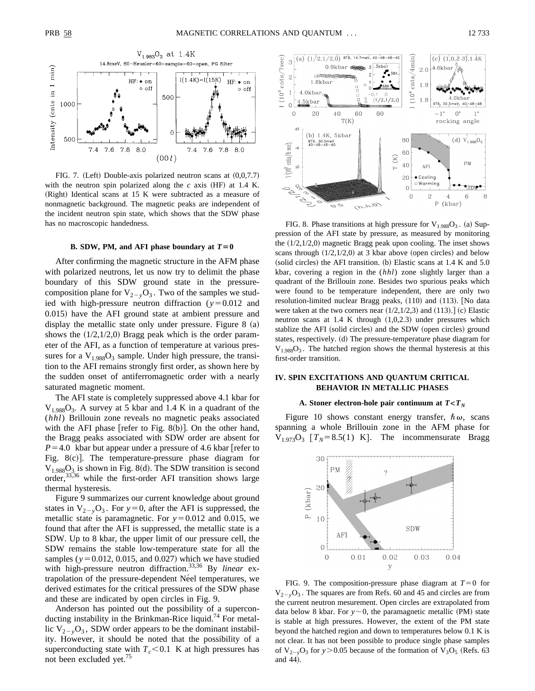

FIG. 7. (Left) Double-axis polarized neutron scans at  $(0,0,7.7)$ with the neutron spin polarized along the  $c$  axis (HF) at 1.4 K.  $(Right)$  Identical scans at 15 K were subtracted as a measure of nonmagnetic background. The magnetic peaks are independent of the incident neutron spin state, which shows that the SDW phase

#### **B. SDW, PM, and AFI phase boundary at**  $T=0$

After confirming the magnetic structure in the AFM phase with polarized neutrons, let us now try to delimit the phase boundary of this SDW ground state in the pressurecomposition plane for  $V_{2-y}O_3$ . Two of the samples we studied with high-pressure neutron diffraction  $(y=0.012$  and 0.015) have the AFI ground state at ambient pressure and display the metallic state only under pressure. Figure  $8$  (a) shows the  $(1/2,1/2,0)$  Bragg peak which is the order parameter of the AFI, as a function of temperature at various pressures for a  $V_{1.988}O_3$  sample. Under high pressure, the transition to the AFI remains strongly first order, as shown here by the sudden onset of antiferromagnetic order with a nearly saturated magnetic moment.

The AFI state is completely suppressed above 4.1 kbar for  $V_{1.988}O_3$ . A survey at 5 kbar and 1.4 K in a quadrant of the (*hhl*) Brillouin zone reveals no magnetic peaks associated with the AFI phase [refer to Fig. 8(b)]. On the other hand, the Bragg peaks associated with SDW order are absent for  $P=4.0$  kbar but appear under a pressure of 4.6 kbar refer to Fig.  $8(c)$ ]. The temperature-pressure phase diagram for  $V_{1.988}O_3$  is shown in Fig. 8(d). The SDW transition is second order,33,36 while the first-order AFI transition shows large thermal hysteresis.

Figure 9 summarizes our current knowledge about ground states in  $V_{2-y}O_3$ . For  $y=0$ , after the AFI is suppressed, the metallic state is paramagnetic. For  $y=0.012$  and 0.015, we found that after the AFI is suppressed, the metallic state is a SDW. Up to 8 kbar, the upper limit of our pressure cell, the SDW remains the stable low-temperature state for all the samples ( $y=0.012$ , 0.015, and 0.027) which we have studied with high-pressure neutron diffraction.33,36 By *linear* extrapolation of the pressure-dependent Néel temperatures, we derived estimates for the critical pressures of the SDW phase and these are indicated by open circles in Fig. 9.

Anderson has pointed out the possibility of a superconducting instability in the Brinkman-Rice liquid.<sup>74</sup> For metallic  $V_{2-y}O_3$ , SDW order appears to be the dominant instability. However, it should be noted that the possibility of a superconducting state with  $T_c < 0.1$  K at high pressures has not been excluded yet.<sup>75</sup>



has no macroscopic handedness. FIG. 8. Phase transitions at high pressure for  $V_{1.988}O_3$ . (a) Suppression of the AFI state by pressure, as measured by monitoring the  $(1/2,1/2,0)$  magnetic Bragg peak upon cooling. The inset shows scans through  $(1/2,1/2,0)$  at 3 kbar above (open circles) and below (solid circles) the AFI transition. (b) Elastic scans at  $1.4 K$  and  $5.0$ kbar, covering a region in the (*hhl*) zone slightly larger than a quadrant of the Brillouin zone. Besides two spurious peaks which were found to be temperature independent, there are only two resolution-limited nuclear Bragg peaks, (110) and (113). [No data were taken at the two corners near  $(1/2,1/2,3)$  and  $(113).]$  (c) Elastic neutron scans at  $1.4$  K through  $(1,0,2.3)$  under pressures which stablize the AFI (solid circles) and the SDW (open circles) ground states, respectively. (d) The pressure-temperature phase diagram for  $V_{1.988}O_3$ . The hatched region shows the thermal hysteresis at this first-order transition.

# **IV. SPIN EXCITATIONS AND QUANTUM CRITICAL BEHAVIOR IN METALLIC PHASES**

## **A. Stoner electron-hole pair continuum at**  $T < T_N$

Figure 10 shows constant energy transfer,  $\hbar \omega$ , scans spanning a whole Brillouin zone in the AFM phase for  $V_{1.973}O_3$   $[T_N=8.5(1)$  K. The incommensurate Bragg



FIG. 9. The composition-pressure phase diagram at  $T=0$  for  $V_{2}$ <sub>2</sub> $\Omega_3$ . The squares are from Refs. 60 and 45 and circles are from the current neutron mesurement. Open circles are extrapolated from data below 8 kbar. For  $y \sim 0$ , the paramagnetic metallic (PM) state is stable at high pressures. However, the extent of the PM state beyond the hatched region and down to temperatures below 0.1 K is not clear. It has not been possible to produce single phase samples of  $V_{2-v}O_3$  for  $y > 0.05$  because of the formation of  $V_3O_5$  (Refs. 63) and 44).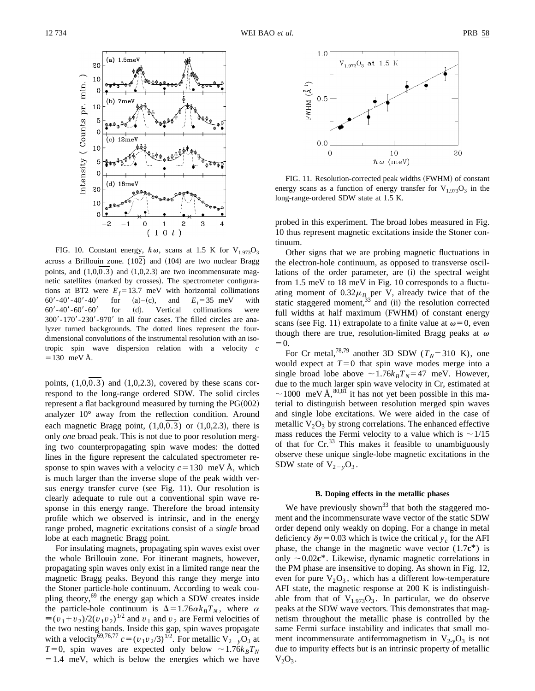

FIG. 10. Constant energy,  $\hbar \omega$ , scans at 1.5 K for V<sub>1.973</sub>O<sub>3</sub> across a Brillouin zone.  $(10\overline{2})$  and  $(104)$  are two nuclear Bragg points, and  $(1,0,0.3)$  and  $(1,0,2.3)$  are two incommensurate magnetic satellites (marked by crosses). The spectrometer configurations at BT2 were  $E_f = 13.7$  meV with horizontal collimations 60'-40'-40'-40' for (a)–(c), and  $E_i = 35$  meV with  $60' - 40' - 60' - 60'$  for (d). Vertical collimations were  $300' - 170' - 230' - 970'$  in all four cases. The filled circles are analyzer turned backgrounds. The dotted lines represent the fourdimensional convolutions of the instrumental resolution with an isotropic spin wave dispersion relation with a velocity *c*  $=130$  meV Å.

points,  $(1,0,0.3)$  and  $(1,0,2.3)$ , covered by these scans correspond to the long-range ordered SDW. The solid circles represent a flat background measured by turning the  $PG(002)$ analyzer 10° away from the reflection condition. Around each magnetic Bragg point,  $(1,0,0.3)$  or  $(1,0,2.3)$ , there is only *one* broad peak. This is not due to poor resolution merging two counterpropagating spin wave modes: the dotted lines in the figure represent the calculated spectrometer response to spin waves with a velocity  $c=130$  meV Å, which is much larger than the inverse slope of the peak width versus energy transfer curve (see Fig. 11). Our resolution is clearly adequate to rule out a conventional spin wave response in this energy range. Therefore the broad intensity profile which we observed is intrinsic, and in the energy range probed, magnetic excitations consist of a *single* broad lobe at each magnetic Bragg point.

For insulating magnets, propagating spin waves exist over the whole Brillouin zone. For itinerant magnets, however, propagating spin waves only exist in a limited range near the magnetic Bragg peaks. Beyond this range they merge into the Stoner particle-hole continuum. According to weak coupling theory,<sup>69</sup> the energy gap which a SDW creates inside the particle-hole continuum is  $\Delta = 1.76 \alpha k_B T_N$ , where  $\alpha$  $\equiv (v_1 + v_2)/2(v_1v_2)^{1/2}$  and  $v_1$  and  $v_2$  are Fermi velocities of the two nesting bands. Inside this gap, spin waves propagate with a velocity<sup>69,76,77</sup>  $c = (v_1v_2/3)^{1/2}$ . For metallic  $V_{2-y}\overline{O}_3$  at  $T=0$ , spin waves are expected only below  $\sim 1.76k_BT_N$  $=1.4$  meV, which is below the energies which we have



FIG. 11. Resolution-corrected peak widths (FWHM) of constant energy scans as a function of energy transfer for  $V_{1.973}O_3$  in the long-range-ordered SDW state at 1.5 K.

probed in this experiment. The broad lobes measured in Fig. 10 thus represent magnetic excitations inside the Stoner continuum.

Other signs that we are probing magnetic fluctuations in the electron-hole continuum, as opposed to transverse oscillations of the order parameter, are (i) the spectral weight from 1.5 meV to 18 meV in Fig. 10 corresponds to a fluctuating moment of  $0.32\mu$ <sup>B</sup> per V, already twice that of the static staggered moment,  $33$  and (ii) the resolution corrected full widths at half maximum (FWHM) of constant energy scans (see Fig. 11) extrapolate to a finite value at  $\omega=0$ , even though there are true, resolution-limited Bragg peaks at  $\omega$  $=0.$ 

For Cr metal,<sup>78,79</sup> another 3D SDW ( $T_N$ =310 K), one would expect at  $T=0$  that spin wave modes merge into a single broad lobe above  $\sim 1.76k_BT_N=47$  meV. However, due to the much larger spin wave velocity in Cr, estimated at  $\sim$  1000 meV Å, <sup>80,81</sup> it has not yet been possible in this material to distinguish between resolution merged spin waves and single lobe excitations. We were aided in the case of metallic  $V_2O_3$  by strong correlations. The enhanced effective mass reduces the Fermi velocity to a value which is  $\sim$  1/15 of that for  $Cr^{33}$  This makes it feasible to unambiguously observe these unique single-lobe magnetic excitations in the SDW state of  $V_{2-y}O_3$ .

# **B. Doping effects in the metallic phases**

We have previously shown<sup>33</sup> that both the staggered moment and the incommensurate wave vector of the static SDW order depend only weakly on doping. For a change in metal deficiency  $\delta y = 0.03$  which is twice the critical *y<sub>c</sub>* for the AFI phase, the change in the magnetic wave vector  $(1.7c^*)$  is only  $\sim 0.02c^*$ . Likewise, dynamic magnetic correlations in the PM phase are insensitive to doping. As shown in Fig. 12, even for pure  $V_2O_3$ , which has a different low-temperature AFI state, the magnetic response at 200 K is indistinguishable from that of  $V_{1.973}O_3$ . In particular, we do observe peaks at the SDW wave vectors. This demonstrates that magnetism throughout the metallic phase is controlled by the same Fermi surface instability and indicates that small moment incommensurate antiferromagnetism in  $V_{2-y}O_3$  is not due to impurity effects but is an intrinsic property of metallic  $V_2O_3$ .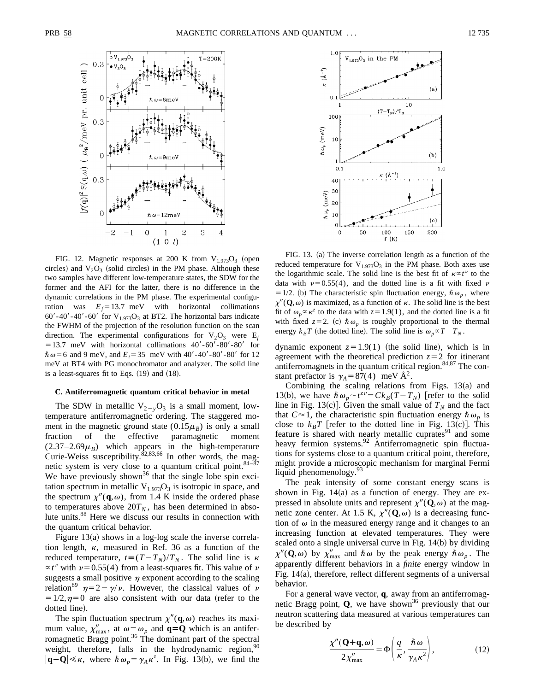

FIG. 12. Magnetic responses at 200 K from  $V_{1.973}O_3$  (open circles) and  $V_2O_3$  (solid circles) in the PM phase. Although these two samples have different low-temperature states, the SDW for the former and the AFI for the latter, there is no difference in the dynamic correlations in the PM phase. The experimental configuration was  $E_f = 13.7$  meV with horizontal collimations 60'-40'-40'-60' for  $V_{1.973}O_3$  at BT2. The horizontal bars indicate the FWHM of the projection of the resolution function on the scan direction. The experimental configurations for  $V_2O_3$  were  $E_f$  $=13.7$  meV with horizontal collimations  $40' - 60' - 80' - 80'$  for  $\hbar \omega = 6$  and 9 meV, and  $E_i = 35$  meV with  $40' - 40' - 80' - 80'$  for 12 meV at BT4 with PG monochromator and analyzer. The solid line is a least-squares fit to Eqs.  $(19)$  and  $(18)$ .

## **C. Antiferromagnetic quantum critical behavior in metal**

The SDW in metallic  $V_{2-y}O_3$  is a small moment, lowtemperature antiferromagnetic ordering. The staggered moment in the magnetic ground state  $(0.15\mu_B)$  is only a small fraction of the effective paramagnetic moment  $(2.37-2.69\mu_B)$  which appears in the high-temperature Curie-Weiss susceptibility. ${}^{82,83,66}$  In other words, the magnetic system is very close to a quantum critical point.  $84-\overline{87}$ We have previously shown<sup>36</sup> that the single lobe spin excitation spectrum in metallic  $V_{1.973}O_3$  is isotropic in space, and the spectrum  $\chi''(\mathbf{q},\omega)$ , from 1.4 K inside the ordered phase to temperatures above  $20T_N$ , has been determined in absolute units.88 Here we discuss our results in connection with the quantum critical behavior.

Figure  $13(a)$  shows in a log-log scale the inverse correlation length,  $\kappa$ , measured in Ref. 36 as a function of the reduced temperature,  $t = (T - T_N)/T_N$ . The solid line is  $\kappa$  $\propto t^{\nu}$  with  $\nu$  = 0.55(4) from a least-squares fit. This value of  $\nu$ suggests a small positive  $\eta$  exponent according to the scaling relation<sup>89</sup>  $\eta=2-\gamma/\nu$ . However, the classical values of  $\nu$  $=1/2, \eta=0$  are also consistent with our data (refer to the dotted line).

The spin fluctuation spectrum  $\chi''(\mathbf{q},\omega)$  reaches its maximum value,  $\chi''_{\text{max}}$ , at  $\omega = \omega_p$  and  $\mathbf{q} = \mathbf{Q}$  which is an antiferromagnetic Bragg point.<sup>36</sup> The dominant part of the spectral weight, therefore, falls in the hydrodynamic region,  $90$  $|\mathbf{q}-\mathbf{Q}| \ll \kappa$ , where  $\hbar \omega_p = \gamma_A \kappa^z$ . In Fig. 13(b), we find the



FIG. 13. (a) The inverse correlation length as a function of the reduced temperature for  $V_{1.973}O_3$  in the PM phase. Both axes use the logarithmic scale. The solid line is the best fit of  $\kappa \propto t^{\nu}$  to the data with  $\nu=0.55(4)$ , and the dotted line is a fit with fixed  $\nu$ = 1/2. (b) The characteristic spin fluctuation energy,  $\hbar \omega_p$ , where  $\chi''({\bf Q},\omega)$  is maximized, as a function of  $\kappa$ . The solid line is the best fit of  $\omega_p \propto \kappa^2$  to the data with  $z=1.9(1)$ , and the dotted line is a fit with fixed  $z=2$ . (c)  $\hbar \omega_p$  is roughly proportional to the thermal energy  $k_B T$  (the dotted line). The solid line is  $\omega_p \propto T - T_N$ .

dynamic exponent  $z=1.9(1)$  (the solid line), which is in agreement with the theoretical prediction  $z=2$  for itinerant antiferromagnets in the quantum critical region. $84,87$  The constant prefactor is  $\gamma_A = 87(4)$  meV Å<sup>2</sup>.

Combining the scaling relations from Figs.  $13(a)$  and 13(b), we have  $\hbar \omega_p \sim t^{z\bar{v}} = Ck_B(T - T_N)$  [refer to the solid line in Fig. 13 $(c)$ . Given the small value of  $T_N$  and the fact that  $C \approx 1$ , the characteristic spin fluctuation energy  $\hbar \omega_p$  is close to  $k_B T$  [refer to the dotted line in Fig. 13(c)]. This feature is shared with nearly metallic cuprates $91$  and some heavy fermion systems.<sup>92</sup> Antiferromagnetic spin fluctuations for systems close to a quantum critical point, therefore, might provide a microscopic mechanism for marginal Fermi liquid phenomenology.<sup>93</sup>

The peak intensity of some constant energy scans is shown in Fig.  $14(a)$  as a function of energy. They are expressed in absolute units and represent  $\chi''(\mathbf{Q},\omega)$  at the magnetic zone center. At 1.5 K,  $\chi''(\mathbf{Q}, \omega)$  is a decreasing function of  $\omega$  in the measured energy range and it changes to an increasing function at elevated temperatures. They were scaled onto a single universal curve in Fig.  $14(b)$  by dividing  $\chi''({\bf Q},\omega)$  by  $\chi''_{\rm max}$  and  $\hbar \omega$  by the peak energy  $\hbar \omega_p$ . The apparently different behaviors in a *finite* energy window in Fig.  $14(a)$ , therefore, reflect different segments of a universal behavior.

For a general wave vector, **q**, away from an antiferromagnetic Bragg point,  $Q$ , we have shown<sup>36</sup> previously that our neutron scattering data measured at various temperatures can be described by

$$
\frac{\chi''(\mathbf{Q}+\mathbf{q},\omega)}{2\chi''_{\text{max}}} = \Phi\left(\frac{q}{\kappa}, \frac{\hbar \omega}{\gamma_A \kappa^2}\right),\tag{12}
$$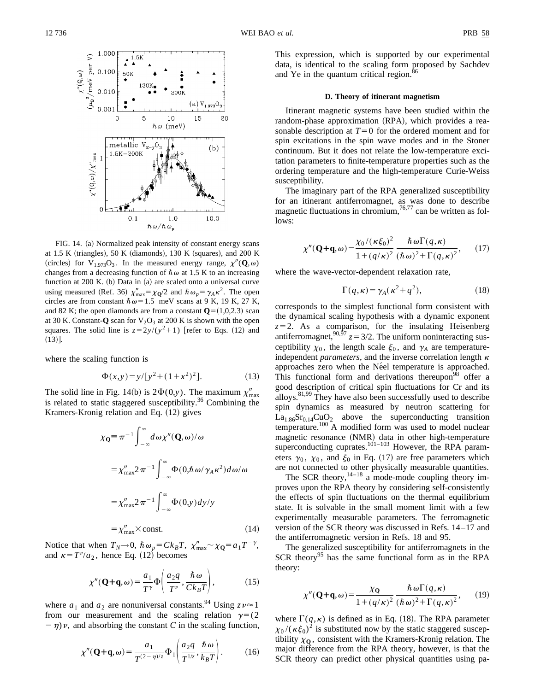

FIG. 14. (a) Normalized peak intensity of constant energy scans at 1.5 K (triangles), 50 K (diamonds), 130 K (squares), and 200 K (circles) for V<sub>1.973</sub>O<sub>3</sub>. In the measured energy range,  $\chi''(\mathbf{Q}, \omega)$ changes from a decreasing function of  $\hbar \omega$  at 1.5 K to an increasing function at  $200$  K. (b) Data in (a) are scaled onto a universal curve using measured (Ref. 36)  $\chi''_{\text{max}} = \chi_{\text{Q}}/2$  and  $\hbar \omega_p = \gamma_A \kappa^2$ . The open circles are from constant  $\hbar \omega = 1.5$  meV scans at 9 K, 19 K, 27 K, and 82 K; the open diamonds are from a constant  $\mathbf{Q}=(1,0,2.3)$  scan at 30 K. Constant-**Q** scan for  $V_2O_3$  at 200 K is shown with the open squares. The solid line is  $z = 2y/(y^2+1)$  [refer to Eqs. (12) and  $(13)$ ].

where the scaling function is

$$
\Phi(x, y) = y/[y^2 + (1 + x^2)^2].\tag{13}
$$

The solid line in Fig. 14(b) is  $2\Phi(0,y)$ . The maximum  $\chi''_{\text{max}}$ is related to static staggered susceptibility.<sup>36</sup> Combining the Kramers-Kronig relation and Eq. (12) gives

$$
\chi_{\mathbf{Q}} = \pi^{-1} \int_{-\infty}^{\infty} d\omega \chi''(\mathbf{Q}, \omega) / \omega
$$
  
\n
$$
= \chi''_{\text{max}} 2 \pi^{-1} \int_{-\infty}^{\infty} \Phi(0, \hbar \omega / \gamma_A \kappa^2) d\omega / \omega
$$
  
\n
$$
= \chi''_{\text{max}} 2 \pi^{-1} \int_{-\infty}^{\infty} \Phi(0, y) dy / y
$$
  
\n
$$
= \chi''_{\text{max}} \times \text{const.} \tag{14}
$$

Notice that when  $T_N \rightarrow 0$ ,  $\hbar \omega_p = C k_B T$ ,  $\chi''_{\text{max}} \sim \chi_{\mathbf{Q}} = a_1 T^{-\gamma}$ , and  $\kappa = T^{\nu}/a_2$ , hence Eq. (12) becomes

$$
\chi''(\mathbf{Q}+\mathbf{q},\omega) = \frac{a_1}{T^{\gamma}} \Phi\left(\frac{a_2 q}{T^{\nu}}, \frac{\hbar \omega}{C k_B T}\right),\tag{15}
$$

where  $a_1$  and  $a_2$  are nonuniversal constants.<sup>94</sup> Using  $z \sim 1$ from our measurement and the scaling relation  $\gamma=(2)$  $-\eta$ )*v*, and absorbing the constant *C* in the scaling function,

$$
\chi''(\mathbf{Q}+\mathbf{q},\omega) = \frac{a_1}{T^{(2-\eta)/z}} \Phi_1\left(\frac{a_2 q}{T^{1/z}}, \frac{\hbar \omega}{k_B T}\right). \tag{16}
$$

This expression, which is supported by our experimental data, is identical to the scaling form proposed by Sachdev and Ye in the quantum critical region.<sup>86</sup>

## **D. Theory of itinerant magnetism**

Itinerant magnetic systems have been studied within the random-phase approximation (RPA), which provides a reasonable description at  $T=0$  for the ordered moment and for spin excitations in the spin wave modes and in the Stoner continuum. But it does not relate the low-temperature excitation parameters to finite-temperature properties such as the ordering temperature and the high-temperature Curie-Weiss susceptibility.

The imaginary part of the RPA generalized susceptibility for an itinerant antiferromagnet, as was done to describe magnetic fluctuations in chromium,  $76,77$  can be written as follows:

$$
\chi''(\mathbf{Q}+\mathbf{q},\omega) = \frac{\chi_0/(\kappa \xi_0)^2}{1 + (q/\kappa)^2} \frac{\hbar \omega \Gamma(q,\kappa)}{(\hbar \omega)^2 + \Gamma(q,\kappa)^2},\qquad(17)
$$

where the wave-vector-dependent relaxation rate,

$$
\Gamma(q,\kappa) = \gamma_A(\kappa^2 + q^2),\tag{18}
$$

corresponds to the simplest functional form consistent with the dynamical scaling hypothesis with a dynamic exponent  $z=2$ . As a comparison, for the insulating Heisenberg antiferromagnet,<sup>90,97</sup>  $z = 3/2$ . The uniform noninteracting susceptibility  $\chi_0$ , the length scale  $\xi_0$ , and  $\gamma_A$  are temperatureindependent *parameters*, and the inverse correlation length  $\kappa$ approaches zero when the Néel temperature is approached. This functional form and derivations thereupon<sup>98</sup> offer a good description of critical spin fluctuations for Cr and its alloys. $81,99$  They have also been successfully used to describe spin dynamics as measured by neutron scattering for  $La<sub>1.86</sub>Sr<sub>0.14</sub>CuO<sub>2</sub>$  above the superconducting transition temperature.<sup>100</sup> A modified form was used to model nuclear magnetic resonance (NMR) data in other high-temperature superconducting cuprates. $101-103$  However, the RPA parameters  $\gamma_0$ ,  $\chi_0$ , and  $\xi_0$  in Eq. (17) are free parameters which are not connected to other physically measurable quantities.

The SCR theory, $14-18$  a mode-mode coupling theory improves upon the RPA theory by considering self-consistently the effects of spin fluctuations on the thermal equilibrium state. It is solvable in the small moment limit with a few experimentally measurable parameters. The ferromagnetic version of the SCR theory was discussed in Refs. 14–17 and the antiferromagnetic version in Refs. 18 and 95.

The generalized susceptibility for antiferromagnets in the SCR theory<sup>95</sup> has the same functional form as in the RPA theory:

$$
\chi''(\mathbf{Q}+\mathbf{q},\omega) = \frac{\chi_{\mathbf{Q}}}{1 + (q/\kappa)^2} \frac{\hbar \omega \Gamma(q,\kappa)}{(\hbar \omega)^2 + \Gamma(q,\kappa)^2},\qquad(19)
$$

where  $\Gamma(q, \kappa)$  is defined as in Eq. (18). The RPA parameter  $\chi_0/(\kappa \xi_0)^2$  is substituted now by the static staggered susceptibility  $\chi_0$ , consistent with the Kramers-Kronig relation. The major difference from the RPA theory, however, is that the SCR theory can predict other physical quantities using pa-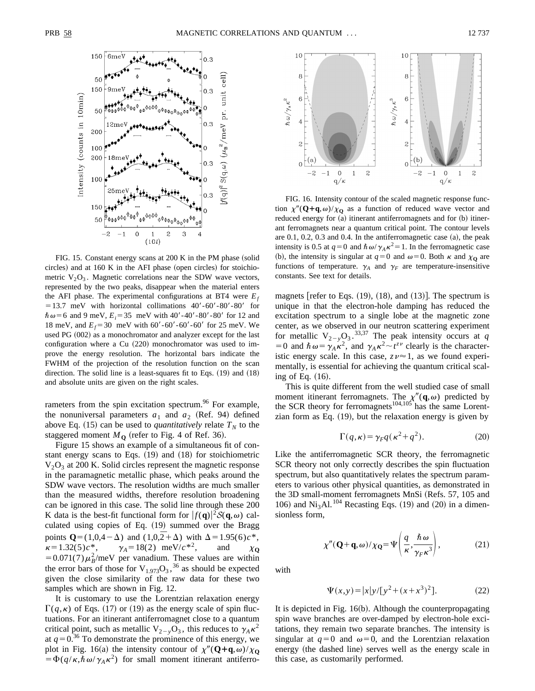

FIG. 15. Constant energy scans at  $200 \text{ K}$  in the PM phase (solid circles) and at  $160$  K in the AFI phase (open circles) for stoichiometric  $V_2O_3$ . Magnetic correlations near the SDW wave vectors, represented by the two peaks, disappear when the material enters the AFI phase. The experimental configurations at BT4 were  $E_f$  $=13.7$  meV with horizontal collimations  $40' - 60' - 80' - 80'$  for  $\hbar \omega = 6$  and 9 meV,  $E_i = 35$  meV with 40'-40'-80'-80' for 12 and 18 meV, and  $E_f$ =30 meV with 60'-60'-60'-60' for 25 meV. We used PG (002) as a monochromator and analyzer except for the last configuration where a Cu  $(220)$  monochromator was used to improve the energy resolution. The horizontal bars indicate the FWHM of the projection of the resolution function on the scan direction. The solid line is a least-squares fit to Eqs.  $(19)$  and  $(18)$ and absolute units are given on the right scales.

rameters from the spin excitation spectrum.<sup>96</sup> For example, the nonuniversal parameters  $a_1$  and  $a_2$  (Ref. 94) defined above Eq. (15) can be used to *quantitatively* relate  $T_N$  to the staggered moment  $M_{\Omega}$  (refer to Fig. 4 of Ref. 36).

Figure 15 shows an example of a simultaneous fit of constant energy scans to Eqs.  $(19)$  and  $(18)$  for stoichiometric  $V<sub>2</sub>O<sub>3</sub>$  at 200 K. Solid circles represent the magnetic response in the paramagnetic metallic phase, which peaks around the SDW wave vectors. The resolution widths are much smaller than the measured widths, therefore resolution broadening can be ignored in this case. The solid line through these 200 K data is the best-fit functional form for  $|f(\mathbf{q})|^2 \mathcal{S}(\mathbf{q},\omega)$  calculated using copies of Eq.  $(19)$  summed over the Bragg points  $Q=(1,0,4-\Delta)$  and  $(1,0,\overline{2}+\Delta)$  with  $\Delta=1.95(6)c^*$ ,  $\kappa = 1.32(5)c^*$ ,  $\gamma_A = 18(2) \text{ meV}/c^{*2}$ , and  $\chi_{\mathbf{Q}}$  $=0.071(7)\mu_B^2$ /meV per vanadium. These values are within the error bars of those for  $V_{1.973}O_3$ ,<sup>36</sup> as should be expected given the close similarity of the raw data for these two samples which are shown in Fig. 12.

It is customary to use the Lorentzian relaxation energy  $\Gamma(q, \kappa)$  of Eqs. (17) or (19) as the energy scale of spin fluctuations. For an itinerant antiferromagnet close to a quantum critical point, such as metallic  $V_{2-y}O_3$ , this reduces to  $\gamma_A \kappa^2$ at  $q=0.36$  To demonstrate the prominence of this energy, we plot in Fig. 16(a) the intensity contour of  $\chi''(\mathbf{Q}+\mathbf{q},\omega)/\chi_0$  $= \Phi(q/\kappa,\hbar \omega/\gamma_A \kappa^2)$  for small moment itinerant antiferro-



FIG. 16. Intensity contour of the scaled magnetic response function  $\chi''(\mathbf{Q}+\mathbf{q},\omega)/\chi_0$  as a function of reduced wave vector and reduced energy for (a) itinerant antiferromagnets and for (b) itinerant ferromagnets near a quantum critical point. The contour levels are  $0.1, 0.2, 0.3$  and  $0.4$ . In the antiferromagnetic case  $(a)$ , the peak intensity is 0.5 at  $q=0$  and  $\hbar \omega / \gamma_A \kappa^2 = 1$ . In the ferromagnetic case (b), the intensity is singular at  $q=0$  and  $\omega=0$ . Both  $\kappa$  and  $\chi_0$  are functions of temperature.  $\gamma_A$  and  $\gamma_F$  are temperature-insensitive constants. See text for details.

magnets [refer to Eqs.  $(19)$ ,  $(18)$ , and  $(13)$ ]. The spectrum is unique in that the electron-hole damping has reduced the excitation spectrum to a single lobe at the magnetic zone center, as we observed in our neutron scattering experiment for metallic  $V_{2-y}O_3$ .<sup>33,37</sup> The peak intensity occurs at *q* = 0 and  $\hbar \omega = \gamma_A \kappa^2$ , and  $\gamma_A \kappa^2 \sim t^{z \nu}$  clearly is the characteristic energy scale. In this case,  $z\nu \approx 1$ , as we found experimentally, is essential for achieving the quantum critical scaling of Eq.  $(16)$ .

This is quite different from the well studied case of small moment itinerant ferromagnets. The  $\chi''(\mathbf{q},\omega)$  predicted by the SCR theory for ferromagnets<sup>104,105</sup> has the same Lorentzian form as Eq.  $(19)$ , but the relaxation energy is given by

$$
\Gamma(q,\kappa) = \gamma_F q(\kappa^2 + q^2). \tag{20}
$$

Like the antiferromagnetic SCR theory, the ferromagnetic SCR theory not only correctly describes the spin fluctuation spectrum, but also quantitatively relates the spectrum parameters to various other physical quantities, as demonstrated in the 3D small-moment ferromagnets MnSi (Refs. 57, 105 and 106) and  $Ni<sub>3</sub>Al.<sup>104</sup>$  Recasting Eqs. (19) and (20) in a dimensionless form,

$$
\chi''(\mathbf{Q}+\mathbf{q},\omega)/\chi_{\mathbf{Q}} = \Psi\left(\frac{q}{\kappa},\frac{\hbar\,\omega}{\gamma_F\kappa^3}\right),\tag{21}
$$

with

$$
\Psi(x, y) = |x|y/[y^2 + (x + x^3)^2].\tag{22}
$$

It is depicted in Fig.  $16(b)$ . Although the counterpropagating spin wave branches are over-damped by electron-hole excitations, they remain two separate branches. The intensity is singular at  $q=0$  and  $\omega=0$ , and the Lorentzian relaxation energy (the dashed line) serves well as the energy scale in this case, as customarily performed.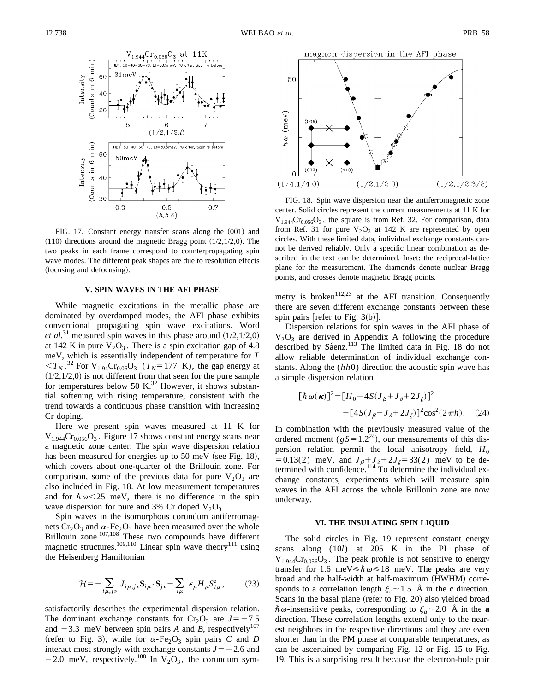

FIG. 17. Constant energy transfer scans along the  $(001)$  and  $(110)$  directions around the magnetic Bragg point  $(1/2,1/2,0)$ . The two peaks in each frame correspond to counterpropagating spin wave modes. The different peak shapes are due to resolution effects (focusing and defocusing).

#### **V. SPIN WAVES IN THE AFI PHASE**

While magnetic excitations in the metallic phase are dominated by overdamped modes, the AFI phase exhibits conventional propagating spin wave excitations. Word *et al.*<sup>31</sup> measured spin waves in this phase around  $(1/2,1/2,0)$ at 142 K in pure  $V_2O_3$ . There is a spin excitation gap of 4.8 meV, which is essentially independent of temperature for *T*  $.<sup>32</sup> For V<sub>1.94</sub>Cr<sub>0.06</sub>O<sub>3</sub> (*T<sub>N</sub>*=177 K), the gap energy at$  $(1/2,1/2,0)$  is not different from that seen for the pure sample for temperatures below 50 K.<sup>32</sup> However, it shows substantial softening with rising temperature, consistent with the trend towards a continuous phase transition with increasing Cr doping.

Here we present spin waves measured at 11 K for  $V_{1.944}Cr_{0.056}O_3$ . Figure 17 shows constant energy scans near a magnetic zone center. The spin wave dispersion relation has been measured for energies up to  $50$  meV (see Fig. 18), which covers about one-quarter of the Brillouin zone. For comparison, some of the previous data for pure  $V_2O_3$  are also included in Fig. 18. At low measurement temperatures and for  $\hbar \omega \leq 25$  meV, there is no difference in the spin wave dispersion for pure and 3% Cr doped  $V_2O_3$ .

Spin waves in the isomorphous corundum antiferromagnets  $Cr_2O_3$  and  $\alpha$ -Fe<sub>2</sub>O<sub>3</sub> have been measured over the whole Brillouin zone.<sup>107,108</sup> These two compounds have different magnetic structures.<sup>109,110</sup> Linear spin wave theory<sup>111</sup> using the Heisenberg Hamiltonian

$$
\mathcal{H} = -\sum_{i\mu,j\nu} J_{i\mu,j\nu} \mathbf{S}_{i\mu} \cdot \mathbf{S}_{j\nu} - \sum_{i\mu} \epsilon_{\mu} H_{\mu} S_{i\mu}^{z}, \qquad (23)
$$

satisfactorily describes the experimental dispersion relation. The dominant exchange constants for  $Cr_2O_3$  are  $J=-7.5$ and  $-3.3$  meV between spin pairs *A* and *B*, respectively<sup>107</sup> (refer to Fig. 3), while for  $\alpha$ -Fe<sub>2</sub>O<sub>3</sub> spin pairs *C* and *D* interact most strongly with exchange constants  $J=-2.6$  and -2.0 meV, respectively.<sup>108</sup> In  $V_2O_3$ , the corundum sym-



FIG. 18. Spin wave dispersion near the antiferromagnetic zone center. Solid circles represent the current measurements at 11 K for  $V_{1.944}Cr_{0.056}O_3$ , the square is from Ref. 32. For comparison, data from Ref. 31 for pure  $V_2O_3$  at 142 K are represented by open circles. With these limited data, individual exchange constants cannot be derived reliably. Only a specific linear combination as described in the text can be determined. Inset: the reciprocal-lattice plane for the measurement. The diamonds denote nuclear Bragg points, and crosses denote magnetic Bragg points.

metry is broken<sup>112,23</sup> at the AFI transition. Consequently there are seven different exchange constants between these spin pairs [refer to Fig.  $3(b)$ ].

Dispersion relations for spin waves in the AFI phase of  $V_2O_3$  are derived in Appendix A following the procedure described by Sáenz.<sup>113</sup> The limited data in Fig. 18 do not allow reliable determination of individual exchange constants. Along the (*hh*0) direction the acoustic spin wave has a simple dispersion relation

$$
[\hbar \omega(\kappa)]^2 = [H_0 - 4S(J_\beta + J_\delta + 2J_\zeta)]^2
$$
  
-[4S(J\_\beta + J\_\delta + 2J\_\zeta)]^2 \cos^2(2\pi h). (24)

In combination with the previously measured value of the ordered moment ( $gS = 1.2^{24}$ ), our measurements of this dispersion relation permit the local anisotropy field,  $H_0$ =0.13(2) meV, and  $J_{\beta} + J_{\delta} + 2J_{\zeta} = 33(2)$  meV to be determined with confidence.<sup>114</sup> To determine the individual exchange constants, experiments which will measure spin waves in the AFI across the whole Brillouin zone are now underway.

### **VI. THE INSULATING SPIN LIQUID**

The solid circles in Fig. 19 represent constant energy scans along (10*l*) at 205 K in the PI phase of  $V_{1.944}Cr_{0.056}O_3$ . The peak profile is not sensitive to energy transfer for 1.6 meV $\leq \hbar \omega \leq 18$  meV. The peaks are very broad and the half-width at half-maximum (HWHM) corresponds to a correlation length  $\xi_c \sim 1.5$  Å in the **c** direction. Scans in the basal plane (refer to Fig. 20) also yielded broad  $\hbar \omega$ -insensitive peaks, corresponding to  $\xi_a \sim 2.0$  Å in the **a** direction. These correlation lengths extend only to the nearest neighbors in the respective directions and they are even shorter than in the PM phase at comparable temperatures, as can be ascertained by comparing Fig. 12 or Fig. 15 to Fig. 19. This is a surprising result because the electron-hole pair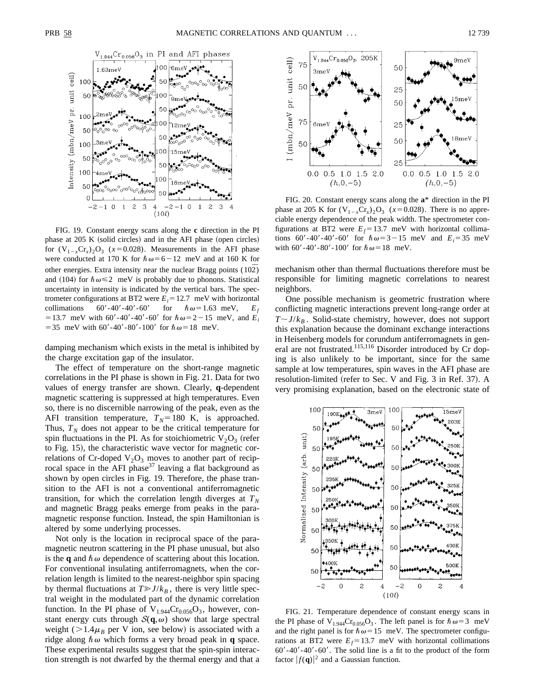

FIG. 19. Constant energy scans along the **c** direction in the PI phase at 205 K (solid circles) and in the AFI phase (open circles) for  $(V_{1-x}Cr_x)_2O_3$  ( $x=0.028$ ). Measurements in the AFI phase were conducted at 170 K for  $\hbar \omega = 6 - 12$  meV and at 160 K for other energies. Extra intensity near the nuclear Bragg points  $(10\overline{2})$ and (104) for  $\hbar \omega \le 2$  meV is probably due to phonons. Statistical uncertainty in intensity is indicated by the vertical bars. The spectrometer configurations at BT2 were  $E_i = 12.7$  meV with horizontal collimations 60'-40'-40'-60' for  $\hbar \omega = 1.63$  meV,  $E_f$ = 13.7 meV with 60'-40'-40'-60' for  $\hbar \omega$ = 2 – 15 meV, and *E<sub>i</sub>* = 35 meV with 60'-40'-80'-100' for  $\hbar \omega$  = 18 meV.

damping mechanism which exists in the metal is inhibited by the charge excitation gap of the insulator.

The effect of temperature on the short-range magnetic correlations in the PI phase is shown in Fig. 21. Data for two values of energy transfer are shown. Clearly, **q**-dependent magnetic scattering is suppressed at high temperatures. Even so, there is no discernible narrowing of the peak, even as the AFI transition temperature,  $T_N = 180$  K, is approached. Thus,  $T_N$  does not appear to be the critical temperature for spin fluctuations in the PI. As for stoichiometric  $V_2O_3$  (refer to Fig. 15), the characteristic wave vector for magnetic correlations of Cr-doped  $V_2O_3$  moves to another part of reciprocal space in the AFI phase<sup>37</sup> leaving a flat background as shown by open circles in Fig. 19. Therefore, the phase transition to the AFI is not a conventional antiferromagnetic transition, for which the correlation length diverges at  $T_N$ and magnetic Bragg peaks emerge from peaks in the paramagnetic response function. Instead, the spin Hamiltonian is altered by some underlying processes.

Not only is the location in reciprocal space of the paramagnetic neutron scattering in the PI phase unusual, but also is the **q** and  $\hbar \omega$  dependence of scattering about this location. For conventional insulating antiferromagnets, when the correlation length is limited to the nearest-neighbor spin spacing by thermal fluctuations at  $T \geq J/k_B$ , there is very little spectral weight in the modulated part of the dynamic correlation function. In the PI phase of  $V_{1.944}Cr_{0.056}O_3$ , however, constant energy cuts through  $S(q,\omega)$  show that large spectral weight ( $>1.4\mu$ <sup>B</sup> per V ion, see below) is associated with a ridge along  $\hbar \omega$  which forms a very broad peak in **q** space. These experimental results suggest that the spin-spin interaction strength is not dwarfed by the thermal energy and that a



FIG. 20. Constant energy scans along the **a**\* direction in the PI phase at 205 K for  $(V_{1-x}Cr_x)_2O_3$  ( $x=0.028$ ). There is no appreciable energy dependence of the peak width. The spectrometer configurations at BT2 were  $E_f = 13.7$  meV with horizontal collimations 60'-40'-40'-60' for  $\hbar \omega = 3 - 15$  meV and  $E_i = 35$  meV with 60'-40'-80'-100' for  $\hbar \omega = 18$  meV.

mechanism other than thermal fluctuations therefore must be responsible for limiting magnetic correlations to nearest neighbors.

One possible mechanism is geometric frustration where conflicting magnetic interactions prevent long-range order at  $T \sim J/k_B$ . Solid-state chemistry, however, does not support this explanation because the dominant exchange interactions in Heisenberg models for corundum antiferromagnets in general are not frustrated.<sup>115,116</sup> Disorder introduced by Cr doping is also unlikely to be important, since for the same sample at low temperatures, spin waves in the AFI phase are resolution-limited (refer to Sec. V and Fig. 3 in Ref. 37). A very promising explanation, based on the electronic state of



FIG. 21. Temperature dependence of constant energy scans in the PI phase of  $V_{1,944}Cr_{0,056}O_3$ . The left panel is for  $\hbar\omega=3$  meV and the right panel is for  $\hbar \omega = 15$  meV. The spectrometer configurations at BT2 were  $E_f$ =13.7 meV with horizontal collimations  $60' - 40' - 60'$ . The solid line is a fit to the product of the form factor  $|f(\mathbf{q})|^2$  and a Gaussian function.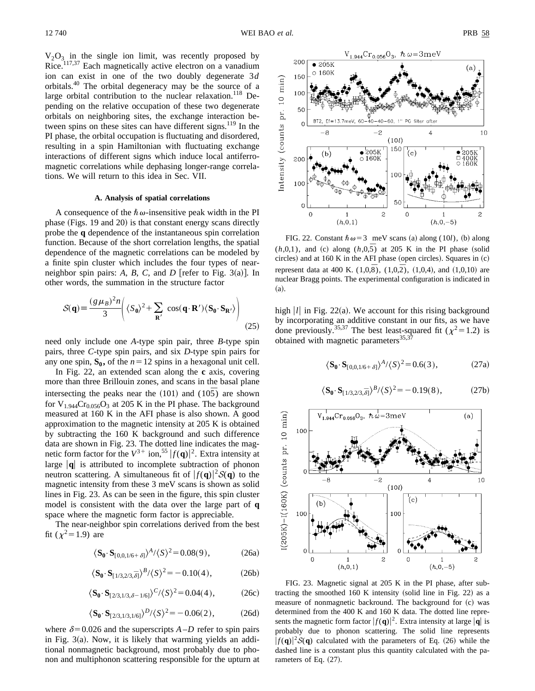$V_2O_3$  in the single ion limit, was recently proposed by Rice.<sup>117,37</sup> Each magnetically active electron on a vanadium ion can exist in one of the two doubly degenerate 3*d* orbitals.40 The orbital degeneracy may be the source of a large orbital contribution to the nuclear relaxation.<sup>118</sup> Depending on the relative occupation of these two degenerate orbitals on neighboring sites, the exchange interaction between spins on these sites can have different signs.<sup>119</sup> In the PI phase, the orbital occupation is fluctuating and disordered, resulting in a spin Hamiltonian with fluctuating exchange interactions of different signs which induce local antiferromagnetic correlations while dephasing longer-range correlations. We will return to this idea in Sec. VII.

# **A. Analysis of spatial correlations**

A consequence of the  $\hbar \omega$ -insensitive peak width in the PI phase (Figs. 19 and 20) is that constant energy scans directly probe the **q** dependence of the instantaneous spin correlation function. Because of the short correlation lengths, the spatial dependence of the magnetic correlations can be modeled by a finite spin cluster which includes the four types of nearneighbor spin pairs:  $A$ ,  $B$ ,  $C$ , and  $D$  [refer to Fig. 3(a)]. In other words, the summation in the structure factor

$$
S(\mathbf{q}) = \frac{(g\,\mu_B)^2 n}{3} \Bigg( \langle S_0 \rangle^2 + \sum_{\mathbf{R}'} \cos(\mathbf{q} \cdot \mathbf{R'}) \langle \mathbf{S_0} \cdot \mathbf{S_{R'}} \rangle \Bigg) \tag{25}
$$

need only include one *A*-type spin pair, three *B*-type spin pairs, three *C*-type spin pairs, and six *D*-type spin pairs for any one spin,  $S_0$ , of the  $n=12$  spins in a hexagonal unit cell.

In Fig. 22, an extended scan along the **c** axis, covering more than three Brillouin zones, and scans in the basal plane intersecting the peaks near the  $(101)$  and  $(10\overline{5})$  are shown for  $V_{1.944}Cr_{0.056}O_3$  at 205 K in the PI phase. The background measured at 160 K in the AFI phase is also shown. A good approximation to the magnetic intensity at 205 K is obtained by subtracting the 160 K background and such difference data are shown in Fig. 23. The dotted line indicates the magnetic form factor for the  $V^{3+}$  ion,<sup>55</sup>  $|f(\mathbf{q})|^2$ . Extra intensity at large  $|\mathbf{q}|$  is attributed to incomplete subtraction of phonon neutron scattering. A simultaneous fit of  $|f(\mathbf{q})|^2 \mathcal{S}(\mathbf{q})$  to the magnetic intensity from these 3 meV scans is shown as solid lines in Fig. 23. As can be seen in the figure, this spin cluster model is consistent with the data over the large part of **q** space where the magnetic form factor is appreciable.

The near-neighbor spin correlations derived from the best fit  $(\chi^2 = 1.9)$  are

$$
\langle \mathbf{S}_0 \cdot \mathbf{S}_{[0,0,1/6+\delta]} \rangle^A / \langle S \rangle^2 = 0.08(9), \tag{26a}
$$

$$
\langle \mathbf{S}_0 \cdot \mathbf{S}_{[1/3,2/3,\bar{\delta}]} \rangle^B / \langle S \rangle^2 = -0.10(4), \tag{26b}
$$

$$
\langle \mathbf{S}_0 \cdot \mathbf{S}_{[2/3,1/3,\delta-1/6]} \rangle^C / \langle S \rangle^2 = 0.04(4), \tag{26c}
$$

$$
\langle \mathbf{S}_0 \cdot \mathbf{S}_{[2/3,1/3,1/6]} \rangle^D / \langle S \rangle^2 = -0.06(2), \tag{26d}
$$

where  $\delta$ =0.026 and the superscripts *A*–*D* refer to spin pairs in Fig.  $3(a)$ . Now, it is likely that warming yields an additional nonmagnetic background, most probably due to phonon and multiphonon scattering responsible for the upturn at



FIG. 22. Constant  $\hbar \omega = 3$  meV scans (a) along (10*l*), (b) along  $(h,0,1)$ , and (c) along  $(h,0,\overline{5})$  at 205 K in the PI phase (solid circles) and at 160 K in the AFI phase (open circles). Squares in  $(c)$ represent data at 400 K.  $(1,0,\overline{8})$ ,  $(1,0,\overline{2})$ ,  $(1,0,4)$ , and  $(1,0,10)$  are nuclear Bragg points. The experimental configuration is indicated in  $(a).$ 

high  $|l|$  in Fig. 22(a). We account for this rising background by incorporating an additive constant in our fits, as we have done previously.<sup>35,37</sup> The best least-squared fit ( $\chi^2$ =1.2) is obtained with magnetic parameters $35,37$ 

$$
\langle S_0 \cdot S_{[0,0,1/6+\delta]} \rangle^A / \langle S \rangle^2 = 0.6(3), \tag{27a}
$$

$$
\langle \mathbf{S}_0 \cdot \mathbf{S}_{[1/3,2/3,\overline{\delta}]} \rangle^B / \langle S \rangle^2 = -0.19(8),\tag{27b}
$$



FIG. 23. Magnetic signal at 205 K in the PI phase, after subtracting the smoothed  $160 \text{ K}$  intensity (solid line in Fig. 22) as a measure of nonmagnetic backround. The background for  $(c)$  was determined from the 400 K and 160 K data. The dotted line represents the magnetic form factor  $|f(\mathbf{q})|^2$ . Extra intensity at large  $|\mathbf{q}|$  is probably due to phonon scattering. The solid line represents  $|f(\mathbf{q})|^2 \mathcal{S}(\mathbf{q})$  calculated with the parameters of Eq. (26) while the dashed line is a constant plus this quantity calculated with the parameters of Eq.  $(27)$ .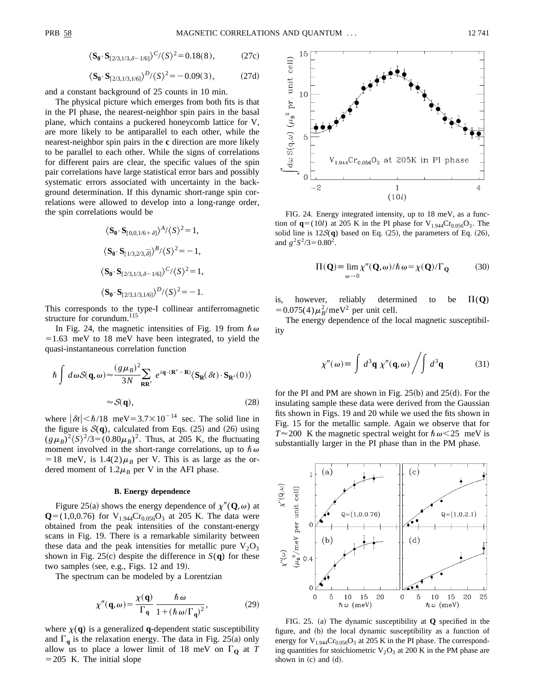$$
\langle \mathbf{S}_0 \cdot \mathbf{S}_{[2/3,1/3,\delta-1/6]} \rangle^C / \langle S \rangle^2 = 0.18(8), \tag{27c}
$$

$$
\langle \mathbf{S}_0 \cdot \mathbf{S}_{[2/3,1/3,1/6]} \rangle^D / \langle S \rangle^2 = -0.09(3), \tag{27d}
$$

and a constant background of 25 counts in 10 min.

The physical picture which emerges from both fits is that in the PI phase, the nearest-neighbor spin pairs in the basal plane, which contains a puckered honeycomb lattice for V, are more likely to be antiparallel to each other, while the nearest-neighbor spin pairs in the **c** direction are more likely to be parallel to each other. While the signs of correlations for different pairs are clear, the specific values of the spin pair correlations have large statistical error bars and possibly systematic errors associated with uncertainty in the background determination. If this dynamic short-range spin correlations were allowed to develop into a long-range order, the spin correlations would be

$$
\langle \mathbf{S}_0 \cdot \mathbf{S}_{[0,0,1/6+\delta]} \rangle^A / \langle S \rangle^2 = 1,
$$
  

$$
\langle \mathbf{S}_0 \cdot \mathbf{S}_{[1/3,2/3,\overline{\delta}]} \rangle^B / \langle S \rangle^2 = -1,
$$
  

$$
\langle \mathbf{S}_0 \cdot \mathbf{S}_{[2/3,1/3,\delta-1/6]} \rangle^C / \langle S \rangle^2 = 1,
$$
  

$$
\langle \mathbf{S}_0 \cdot \mathbf{S}_{[2/3,1/3,1/6]} \rangle^D / \langle S \rangle^2 = -1.
$$

This corresponds to the type-I collinear antiferromagnetic structure for corundum.<sup>115</sup>

In Fig. 24, the magnetic intensities of Fig. 19 from  $\hbar \omega$  $=1.63$  meV to 18 meV have been integrated, to yield the quasi-instantaneous correlation function

$$
\hbar \int d\omega S(\mathbf{q}, \omega) \approx \frac{(g \mu_B)^2}{3N} \sum_{\mathbf{R} \mathbf{R}'} e^{i\mathbf{q} \cdot (\mathbf{R}' - \mathbf{R})} \langle \mathbf{S}_{\mathbf{R}}(\delta t) \cdot \mathbf{S}_{\mathbf{R}'}(0) \rangle
$$
  

$$
\approx S(\mathbf{q}), \qquad (28)
$$

where  $|\delta t| < \hbar/18$  meV=3.7×10<sup>-14</sup> sec. The solid line in the figure is  $S(q)$ , calculated from Eqs. (25) and (26) using  $(g\mu_B)^2 \langle S \rangle^2 / 3 = (0.80 \mu_B)^2$ . Thus, at 205 K, the fluctuating moment involved in the short-range correlations, up to  $\hbar \omega$ =18 meV, is  $1.4(2)\mu_B$  per V. This is as large as the ordered moment of  $1.2\mu$ <sup>B</sup> per V in the AFI phase.

#### **B. Energy dependence**

Figure 25(a) shows the energy dependence of  $\chi''({\bf Q},\omega)$  at  ${\bf Q}=(1,0,0.76)$  for V<sub>1.944</sub>Cr<sub>0.056</sub>O<sub>3</sub> at 205 K. The data were obtained from the peak intensities of the constant-energy scans in Fig. 19. There is a remarkable similarity between these data and the peak intensities for metallic pure  $V_2O_3$ shown in Fig. 25 $(c)$  despite the difference in  $S(q)$  for these two samples (see, e.g., Figs.  $12$  and  $19$ ).

The spectrum can be modeled by a Lorentzian

$$
\chi''(\mathbf{q}, \omega) = \frac{\chi(\mathbf{q})}{\Gamma_{\mathbf{q}}} \frac{\hbar \omega}{1 + (\hbar \omega/\Gamma_{\mathbf{q}})^2},
$$
(29)

where  $\chi(\mathbf{q})$  is a generalized **q**-dependent static susceptibility and  $\Gamma_q$  is the relaxation energy. The data in Fig. 25(a) only allow us to place a lower limit of 18 meV on  $\Gamma_0$  at *T*  $=205$  K. The initial slope



FIG. 24. Energy integrated intensity, up to 18 meV, as a function of  ${\bf q}$ =(10*l*) at 205 K in the PI phase for V<sub>1.944</sub>Cr<sub>0.056</sub>O<sub>3</sub>. The solid line is  $12S(q)$  based on Eq.  $(25)$ , the parameters of Eq.  $(26)$ , and  $g^2S^2/3=0.80^2$ .

$$
\Pi(\mathbf{Q}) \equiv \lim_{\omega \to 0} \chi''(\mathbf{Q}, \omega) / \hbar \, \omega = \chi(\mathbf{Q}) / \Gamma_{\mathbf{Q}} \tag{30}
$$

is, however, reliably determined to be  $\Pi(Q)$  $= 0.075(4) \mu_B^2$ /meV<sup>2</sup> per unit cell.

The energy dependence of the local magnetic susceptibility

$$
\chi''(\omega) \equiv \int d^3\mathbf{q} \ \chi''(\mathbf{q}, \omega) / \int d^3\mathbf{q} \tag{31}
$$

for the PI and PM are shown in Fig.  $25(b)$  and  $25(d)$ . For the insulating sample these data were derived from the Gaussian fits shown in Figs. 19 and 20 while we used the fits shown in Fig. 15 for the metallic sample. Again we observe that for  $T \approx 200$  K the magnetic spectral weight for  $\hbar \omega < 25$  meV is substantially larger in the PI phase than in the PM phase.



FIG. 25. (a) The dynamic susceptibility at  $Q$  specified in the figure, and (b) the local dynamic susceptibility as a function of energy for  $\rm V_{1.944}Cr_{0.056}O_3$  at 205 K in the PI phase. The corresponding quantities for stoichiometric  $V_2O_3$  at 200 K in the PM phase are shown in  $(c)$  and  $(d)$ .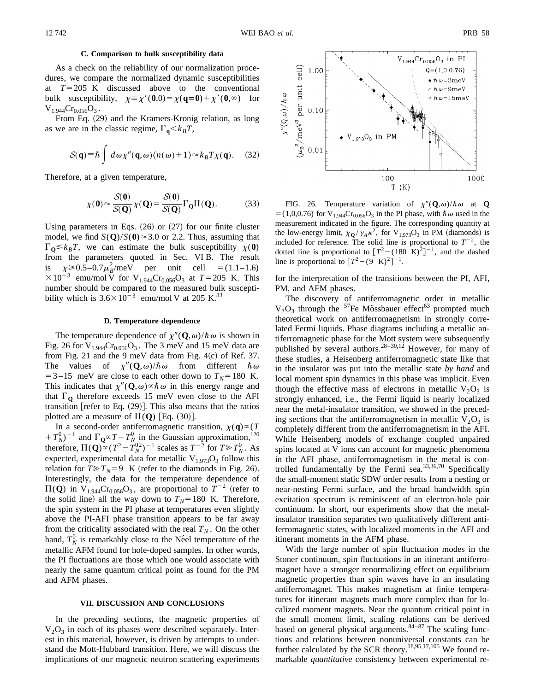# **C. Comparison to bulk susceptibility data**

As a check on the reliability of our normalization procedures, we compare the normalized dynamic susceptibilities at  $T=205$  K discussed above to the conventional bulk susceptibility,  $\chi = \chi'(0,0) = \chi(q=0) + \chi'(0,\infty)$  for  $V_{1.944}Cr_{0.056}O_3$ .

From Eq. (29) and the Kramers-Kronig relation, as long as we are in the classic regime,  $\Gamma_{\mathbf{q}} \ll k_B T$ ,

$$
S(\mathbf{q}) \equiv \hbar \int d\omega \chi''(\mathbf{q}, \omega) \langle n(\omega) + 1 \rangle \approx k_B T \chi(\mathbf{q}). \quad (32)
$$

Therefore, at a given temperature,

$$
\chi(\mathbf{0}) \approx \frac{\mathcal{S}(\mathbf{0})}{\mathcal{S}(\mathbf{Q})} \chi(\mathbf{Q}) = \frac{\mathcal{S}(\mathbf{0})}{\mathcal{S}(\mathbf{Q})} \Gamma_{\mathbf{Q}} \Pi(\mathbf{Q}).
$$
 (33)

Using parameters in Eqs.  $(26)$  or  $(27)$  for our finite cluster model, we find  $S(Q)/S(0) \approx 3.0$  or 2.2. Thus, assuming that  $\Gamma_{\mathbf{O}} \leq k_B T$ , we can estimate the bulk susceptibility  $\chi(\mathbf{0})$ from the parameters quoted in Sec. VI B. The result is  $\chi \ge 0.5-0.7\mu_B^2$ /meV per unit cell = (1.1–1.6)  $\times 10^{-3}$  emu/mol V for V<sub>1.944</sub>Cr<sub>0.056</sub>O<sub>3</sub> at *T* = 205 K. This number should be compared to the measured bulk susceptibility which is  $3.6 \times 10^{-3}$  emu/mol V at 205 K.<sup>83</sup>

## **D. Temperature dependence**

The temperature dependence of  $\chi''(\mathbf{Q},\omega)/\hbar\omega$  is shown in Fig. 26 for  $V_{1.944}Cr_{0.056}O_3$ . The 3 meV and 15 meV data are from Fig. 21 and the 9 meV data from Fig.  $4(c)$  of Ref. 37. The values of  $\chi''(\mathbf{Q},\omega)/\hbar\omega$  from different  $\hbar\omega$  $=3-15$  meV are close to each other down to  $T<sub>N</sub>=180$  K. This indicates that  $\chi''(\mathbf{Q}, \omega) \propto \hbar \omega$  in this energy range and that  $\Gamma_0$  therefore exceeds 15 meV even close to the AFI transition [refer to Eq.  $(29)$ ]. This also means that the ratios plotted are a measure of  $\Pi(Q)$  [Eq. (30)].

In a second-order antiferromagnetic transition,  $\chi(\mathbf{q}) \propto (T)$  $(T_N^0)^{-1}$  and  $\Gamma_Q \propto T - T_{N}^0$  in the Gaussian approximation,<sup>120</sup> therefore,  $\Pi(Q) \propto (T^2 - T_N^{02})^{-1}$  scales as  $T^{-2}$  for  $T \gg T_N^0$ . As expected, experimental data for metallic  $V_{1.973}O_3$  follow this relation for  $T \gg T_N = 9$  K (refer to the diamonds in Fig. 26). Interestingly, the data for the temperature dependence of  $\Pi(Q)$  in V<sub>1.944</sub>Cr<sub>0.056</sub>O<sub>3</sub>, are proportional to  $T^{-2}$  (refer to the solid line) all the way down to  $T_N$ =180 K. Therefore, the spin system in the PI phase at temperatures even slightly above the PI-AFI phase transition appears to be far away from the criticality associated with the real  $T_N$ . On the other hand,  $T_N^0$  is remarkably close to the Ne<sup>e</sup>l temperature of the metallic AFM found for hole-doped samples. In other words, the PI fluctuations are those which one would associate with nearly the same quantum critical point as found for the PM and AFM phases.

# **VII. DISCUSSION AND CONCLUSIONS**

In the preceding sections, the magnetic properties of  $V_2O_3$  in each of its phases were described separately. Interest in this material, however, is driven by attempts to understand the Mott-Hubbard transition. Here, we will discuss the implications of our magnetic neutron scattering experiments



FIG. 26. Temperature variation of  $\chi''(\mathbf{Q},\omega)/\hbar\omega$  at **Q**  $=$  (1,0,0.76) for V<sub>1.944</sub>Cr<sub>0.056</sub>O<sub>3</sub> in the PI phase, with  $\hbar \omega$  used in the measurement indicated in the figure. The corresponding quantity at the low-energy limit,  $\chi_{\mathbf{Q}} / \gamma_A \kappa^2$ , for  $V_{1.973}O_3$  in PM (diamonds) is included for reference. The solid line is proportional to  $T^{-2}$ , the dotted line is proportional to  $[T^2 - (180 \text{ K})^2]^{-1}$ , and the dashed line is proportional to  $[T^2 - (9 \text{ K})^2]^{-1}$ .

for the interpretation of the transitions between the PI, AFI, PM, and AFM phases.

The discovery of antiferromagnetic order in metallic  $V_2O_3$  through the <sup>57</sup>Fe Mössbauer effect<sup>63</sup> prompted much theoretical work on antiferromagnetism in strongly correlated Fermi liquids. Phase diagrams including a metallic antiferromagnetic phase for the Mott system were subsequently published by several authors.<sup>28–30,12</sup> However, for many of these studies, a Heisenberg antiferromagnetic state like that in the insulator was put into the metallic state *by hand* and local moment spin dynamics in this phase was implicit. Even though the effective mass of electrons in metallic  $V_2O_3$  is strongly enhanced, i.e., the Fermi liquid is nearly localized near the metal-insulator transition, we showed in the preceding sections that the antiferromagnetism in metallic  $V_2O_3$  is completely different from the antiferromagnetism in the AFI. While Heisenberg models of exchange coupled unpaired spins located at V ions can account for magnetic phenomena in the AFI phase, antiferromagnetism in the metal is controlled fundamentally by the Fermi sea.33,36,70 Specifically the small-moment static SDW order results from a nesting or near-nesting Fermi surface, and the broad bandwidth spin excitation spectrum is reminiscent of an electron-hole pair continuum. In short, our experiments show that the metalinsulator transition separates two qualitatively different antiferromagnetic states, with localized moments in the AFI and itinerant moments in the AFM phase.

With the large number of spin fluctuation modes in the Stoner continuum, spin fluctuations in an itinerant antiferromagnet have a stronger renormalizing effect on equilibrium magnetic properties than spin waves have in an insulating antiferromagnet. This makes magnetism at finite temperatures for itinerant magnets much more complex than for localized moment magnets. Near the quantum critical point in the small moment limit, scaling relations can be derived based on general physical arguments. $84-87$  The scaling functions and relations between nonuniversal constants can be further calculated by the SCR theory.<sup>18,95,17,105</sup> We found remarkable *quantitative* consistency between experimental re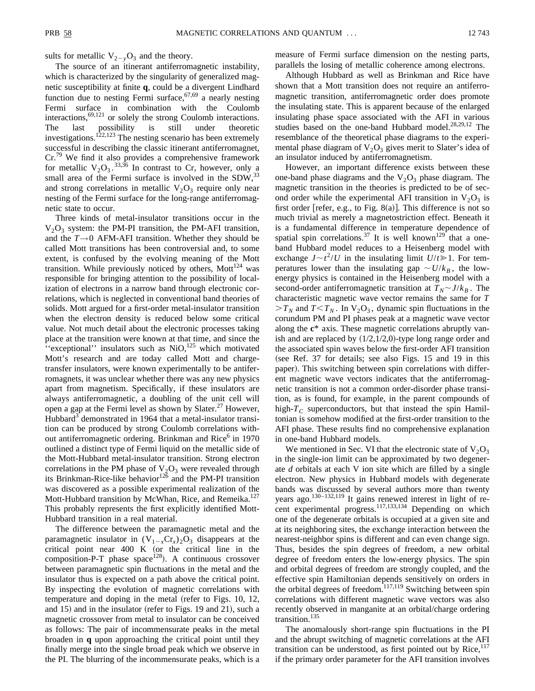sults for metallic  $V_{2-y}O_3$  and the theory.

The source of an itinerant antiferromagnetic instability, which is characterized by the singularity of generalized magnetic susceptibility at finite **q**, could be a divergent Lindhard function due to nesting Fermi surface,  $67,69$  a nearly nesting Fermi surface in combination with the Coulomb interactions, $69,121$  or solely the strong Coulomb interactions. The last possibility is still under theoretic investigations.<sup>122,123</sup> The nesting scenario has been extremely successful in describing the classic itinerant antiferromagnet, Cr.79 We find it also provides a comprehensive framework for metallic  $V_2O_3$ .<sup>33,36</sup> In contrast to Cr, however, only a small area of the Fermi surface is involved in the  $SDW$ ,  $33$ and strong correlations in metallic  $V_2O_3$  require only near nesting of the Fermi surface for the long-range antiferromagnetic state to occur.

Three kinds of metal-insulator transitions occur in the  $V_2O_3$  system: the PM-PI transition, the PM-AFI transition, and the *T→*0 AFM-AFI transition. Whether they should be called Mott transitions has been controversial and, to some extent, is confused by the evolving meaning of the Mott transition. While previously noticed by others,  $Mott^{124}$  was responsible for bringing attention to the possibility of localization of electrons in a narrow band through electronic correlations, which is neglected in conventional band theories of solids. Mott argued for a first-order metal-insulator transition when the electron density is reduced below some critical value. Not much detail about the electronic processes taking place at the transition were known at that time, and since the "exceptional" insulators such as  $NiO<sub>125</sub>$  which motivated Mott's research and are today called Mott and chargetransfer insulators, were known experimentally to be antiferromagnets, it was unclear whether there was any new physics apart from magnetism. Specifically, if these insulators are always antiferromagnetic, a doubling of the unit cell will open a gap at the Fermi level as shown by Slater.<sup>27</sup> However, Hubbard<sup>3</sup> demonstrated in 1964 that a metal-insulator transition can be produced by strong Coulomb correlations without antiferromagnetic ordering. Brinkman and Rice<sup>6</sup> in 1970 outlined a distinct type of Fermi liquid on the metallic side of the Mott-Hubbard metal-insulator transition. Strong electron correlations in the PM phase of  $V_2O_3$  were revealed through its Brinkman-Rice-like behavior $12\overline{6}$  and the PM-PI transition was discovered as a possible experimental realization of the Mott-Hubbard transition by McWhan, Rice, and Remeika.<sup>127</sup> This probably represents the first explicitly identified Mott-Hubbard transition in a real material.

The difference between the paramagnetic metal and the paramagnetic insulator in  $(V_{1-x}Cr_{x})_{2}O_{3}$  disappears at the critical point near  $400 \text{ K}$  (or the critical line in the composition-P-T phase space<sup>128</sup>). A continuous crossover between paramagnetic spin fluctuations in the metal and the insulator thus is expected on a path above the critical point. By inspecting the evolution of magnetic correlations with temperature and doping in the metal (refer to Figs.  $10, 12$ , and  $15$ ) and in the insulator (refer to Figs. 19 and 21), such a magnetic crossover from metal to insulator can be conceived as follows: The pair of incommensurate peaks in the metal broaden in **q** upon approaching the critical point until they finally merge into the single broad peak which we observe in the PI. The blurring of the incommensurate peaks, which is a measure of Fermi surface dimension on the nesting parts, parallels the losing of metallic coherence among electrons.

Although Hubbard as well as Brinkman and Rice have shown that a Mott transition does not require an antiferromagnetic transition, antiferromagnetic order does promote the insulating state. This is apparent because of the enlarged insulating phase space associated with the AFI in various studies based on the one-band Hubbard model.<sup>28,29,12</sup> The resemblance of the theoretical phase diagrams to the experimental phase diagram of  $V_2O_3$  gives merit to Slater's idea of an insulator induced by antiferromagnetism.

However, an important difference exists between these one-band phase diagrams and the  $V_2O_3$  phase diagram. The magnetic transition in the theories is predicted to be of second order while the experimental AFI transition in  $V_2O_3$  is first order [refer, e.g., to Fig. 8(a)]. This difference is not so much trivial as merely a magnetostriction effect. Beneath it is a fundamental difference in temperature dependence of spatial spin correlations.<sup>37</sup> It is well known<sup>129</sup> that a oneband Hubbard model reduces to a Heisenberg model with exchange  $J \sim t^2/U$  in the insulating limit  $U/t \ge 1$ . For temperatures lower than the insulating gap  $\sim U/k_B$ , the lowenergy physics is contained in the Heisenberg model with a second-order antiferromagnetic transition at  $T_N \sim J/k_B$ . The characteristic magnetic wave vector remains the same for *T*  $>T_N$  and  $T < T_N$ . In  $V_2O_3$ , dynamic spin fluctuations in the corundum PM and PI phases peak at a magnetic wave vector along the **c**\* axis. These magnetic correlations abruptly vanish and are replaced by  $(1/2,1/2,0)$ -type long range order and the associated spin waves below the first-order AFI transition (see Ref. 37 for details; see also Figs. 15 and 19 in this paper). This switching between spin correlations with different magnetic wave vectors indicates that the antiferromagnetic transition is not a common order-disorder phase transition, as is found, for example, in the parent compounds of high- $T_c$  superconductors, but that instead the spin Hamiltonian is somehow modified at the first-order transition to the AFI phase. These results find no comprehensive explanation in one-band Hubbard models.

We mentioned in Sec. VI that the electronic state of  $V_2O_3$ in the single-ion limit can be approximated by two degenerate *d* orbitals at each V ion site which are filled by a single electron. New physics in Hubbard models with degenerate bands was discussed by several authors more than twenty years ago.130–132,119 It gains renewed interest in light of recent experimental progress.<sup>117,133,134</sup> Depending on which one of the degenerate orbitals is occupied at a given site and at its neighboring sites, the exchange interaction between the nearest-neighbor spins is different and can even change sign. Thus, besides the spin degrees of freedom, a new orbital degree of freedom enters the low-energy physics. The spin and orbital degrees of freedom are strongly coupled, and the effective spin Hamiltonian depends sensitively on orders in the orbital degrees of freedom.<sup>117,119</sup> Switching between spin correlations with different magnetic wave vectors was also recently observed in manganite at an orbital/charge ordering transition.<sup>135</sup>

The anomalously short-range spin fluctuations in the PI and the abrupt switching of magnetic correlations at the AFI transition can be understood, as first pointed out by  $Rice$ ,  $^{117}$ if the primary order parameter for the AFI transition involves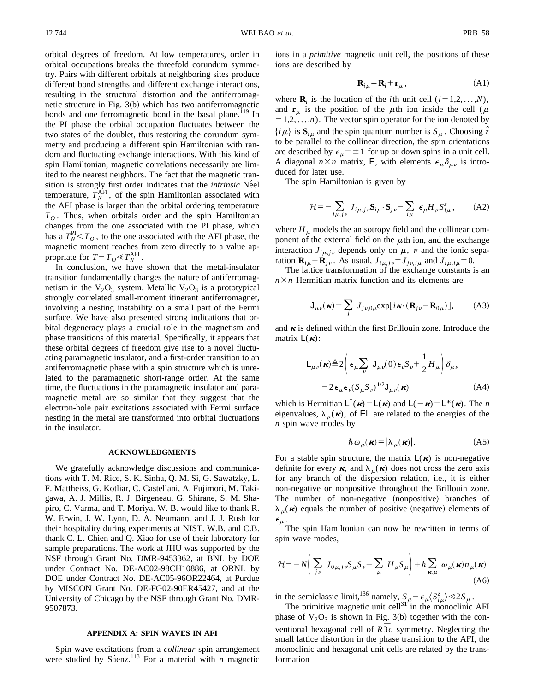orbital degrees of freedom. At low temperatures, order in orbital occupations breaks the threefold corundum symmetry. Pairs with different orbitals at neighboring sites produce different bond strengths and different exchange interactions, resulting in the structural distortion and the antiferromagnetic structure in Fig.  $3(b)$  which has two antiferromagnetic bonds and one ferromagnetic bond in the basal plane.<sup>119</sup> In the PI phase the orbital occupation fluctuates between the two states of the doublet, thus restoring the corundum symmetry and producing a different spin Hamiltonian with random and fluctuating exchange interactions. With this kind of spin Hamiltonian, magnetic correlations necessarily are limited to the nearest neighbors. The fact that the magnetic transition is strongly first order indicates that the *intrinsic* Néel temperature,  $T_N^{\text{AFI}}$ , of the spin Hamiltonian associated with the AFI phase is larger than the orbital ordering temperature  $T<sub>O</sub>$ . Thus, when orbitals order and the spin Hamiltonian changes from the one associated with the PI phase, which has a  $T_N^{\text{PI}} < T_O$ , to the one associated with the AFI phase, the magnetic moment reaches from zero directly to a value appropriate for  $T = T_O \ll T_N^{\text{AFI}}$ .

In conclusion, we have shown that the metal-insulator transition fundamentally changes the nature of antiferromagnetism in the  $V_2O_3$  system. Metallic  $V_2O_3$  is a prototypical strongly correlated small-moment itinerant antiferromagnet, involving a nesting instability on a small part of the Fermi surface. We have also presented strong indications that orbital degeneracy plays a crucial role in the magnetism and phase transitions of this material. Specifically, it appears that these orbital degrees of freedom give rise to a novel fluctuating paramagnetic insulator, and a first-order transition to an antiferromagnetic phase with a spin structure which is unrelated to the paramagnetic short-range order. At the same time, the fluctuations in the paramagnetic insulator and paramagnetic metal are so similar that they suggest that the electron-hole pair excitations associated with Fermi surface nesting in the metal are transformed into orbital fluctuations in the insulator.

## **ACKNOWLEDGMENTS**

We gratefully acknowledge discussions and communications with T. M. Rice, S. K. Sinha, Q. M. Si, G. Sawatzky, L. F. Mattheiss, G. Kotliar, C. Castellani, A. Fujimori, M. Takigawa, A. J. Millis, R. J. Birgeneau, G. Shirane, S. M. Shapiro, C. Varma, and T. Moriya. W. B. would like to thank R. W. Erwin, J. W. Lynn, D. A. Neumann, and J. J. Rush for their hospitality during experiments at NIST. W.B. and C.B. thank C. L. Chien and Q. Xiao for use of their laboratory for sample preparations. The work at JHU was supported by the NSF through Grant No. DMR-9453362, at BNL by DOE under Contract No. DE-AC02-98CH10886, at ORNL by DOE under Contract No. DE-AC05-96OR22464, at Purdue by MISCON Grant No. DE-FG02-90ER45427, and at the University of Chicago by the NSF through Grant No. DMR-9507873.

# **APPENDIX A: SPIN WAVES IN AFI**

Spin wave excitations from a *collinear* spin arrangement were studied by Sáenz.<sup>113</sup> For a material with *n* magnetic ions in a *primitive* magnetic unit cell, the positions of these ions are described by

$$
\mathbf{R}_{i\mu} = \mathbf{R}_i + \mathbf{r}_\mu \,,\tag{A1}
$$

where  $\mathbf{R}_i$  is the location of the *i*th unit cell  $(i=1,2,\ldots,N)$ , and  $\mathbf{r}_{\mu}$  is the position of the  $\mu$ th ion inside the cell ( $\mu$  $=1,2,...,n$ ). The vector spin operator for the ion denoted by  $\{i\mu\}$  is  $\mathbf{S}_{i\mu}$  and the spin quantum number is  $S_{\mu}$ . Choosing  $\hat{z}$ to be parallel to the collinear direction, the spin orientations are described by  $\epsilon_{\mu} = \pm 1$  for up or down spins in a unit cell. A diagonal  $n \times n$  matrix, E, with elements  $\epsilon_{\mu} \delta_{\mu\nu}$  is introduced for later use.

The spin Hamiltonian is given by

$$
\mathcal{H} = -\sum_{i\mu,j\nu} J_{i\mu,j\nu} \mathbf{S}_{i\mu} \cdot \mathbf{S}_{j\nu} - \sum_{i\mu} \epsilon_{\mu} H_{\mu} S_{i\mu}^{z}, \quad (A2)
$$

where  $H<sub>\mu</sub>$  models the anisotropy field and the collinear component of the external field on the  $\mu$ th ion, and the exchange interaction  $J_{i\mu, j\nu}$  depends only on  $\mu$ ,  $\nu$  and the ionic separation  $\mathbf{R}_{i\mu} - \mathbf{R}_{j\nu}$ . As usual,  $J_{i\mu, j\nu} = J_{j\nu, i\mu}$  and  $J_{i\mu, i\mu} = 0$ .

The lattice transformation of the exchange constants is an  $n \times n$  Hermitian matrix function and its elements are

$$
\mathbf{J}_{\mu\nu}(\kappa) = \sum_{j} J_{j\nu,0\mu} \exp[i\kappa \cdot (\mathbf{R}_{j\nu} - \mathbf{R}_{0\mu})],
$$
 (A3)

and  $\kappa$  is defined within the first Brillouin zone. Introduce the matrix  $L(\kappa)$ :

$$
\mathsf{L}_{\mu\nu}(\kappa) \triangleq 2 \left( \epsilon_{\mu} \sum_{\nu} \mathsf{J}_{\mu\nu}(0) \epsilon_{\nu} S_{\nu} + \frac{1}{2} H_{\mu} \right) \delta_{\mu\nu} - 2 \epsilon_{\mu} \epsilon_{\nu} (S_{\mu} S_{\nu})^{1/2} \mathsf{J}_{\mu\nu}(\kappa)
$$
 (A4)

which is Hermitian  $L^{\dagger}(\kappa) = L(\kappa)$  and  $L(-\kappa) = L^{\dagger}(\kappa)$ . The *n* eigenvalues,  $\lambda_{\mu}(\kappa)$ , of EL are related to the energies of the *n* spin wave modes by

$$
\hbar \,\omega_{\mu}(\mathbf{\kappa}) = |\lambda_{\mu}(\mathbf{\kappa})|.\tag{A5}
$$

For a stable spin structure, the matrix  $L(\kappa)$  is non-negative definite for every  $\kappa$ , and  $\lambda_{\mu}(\kappa)$  does not cross the zero axis for any branch of the dispersion relation, i.e., it is either non-negative or nonpositive throughout the Brillouin zone. The number of non-negative (nonpositive) branches of  $\lambda_{\mu}(\kappa)$  equals the number of positive (negative) elements of  $\epsilon_{\mu}$ 

The spin Hamiltonian can now be rewritten in terms of spin wave modes,

$$
\mathcal{H} = -N \bigg( \sum_{j\nu} J_{0\mu, j\nu} S_{\mu} S_{\nu} + \sum_{\mu} H_{\mu} S_{\mu} \bigg) + \hbar \sum_{\kappa, \mu} \omega_{\mu}(\kappa) n_{\mu}(\kappa) \tag{A6}
$$

in the semiclassic limit,<sup>136</sup> namely,  $S_{\mu} - \epsilon_{\mu} S_{i\mu}^{z} \ll 2S_{\mu}$ .

The primitive magnetic unit cell $31$  in the monoclinic AFI phase of  $V_2O_3$  is shown in Fig. 3(b) together with the conventional hexagonal cell of  $R\overline{3}c$  symmetry. Neglecting the small lattice distortion in the phase transition to the AFI, the monoclinic and hexagonal unit cells are related by the transformation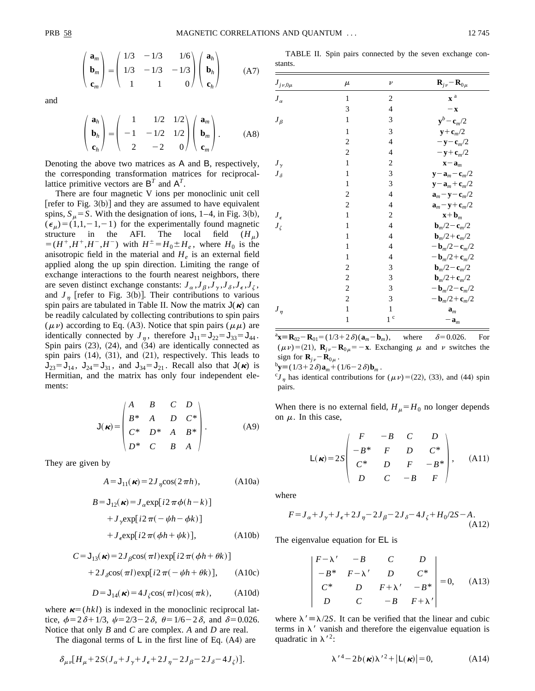stants.

$$
\begin{pmatrix} \mathbf{a}_m \\ \mathbf{b}_m \\ \mathbf{c}_m \end{pmatrix} = \begin{pmatrix} 1/3 & -1/3 & 1/6 \\ 1/3 & -1/3 & -1/3 \\ 1 & 1 & 0 \end{pmatrix} \begin{pmatrix} \mathbf{a}_h \\ \mathbf{b}_h \\ \mathbf{c}_h \end{pmatrix}
$$
 (A7)

and

$$
\begin{pmatrix} \mathbf{a}_h \\ \mathbf{b}_h \\ \mathbf{c}_h \end{pmatrix} = \begin{pmatrix} 1 & 1/2 & 1/2 \\ -1 & -1/2 & 1/2 \\ 2 & -2 & 0 \end{pmatrix} \begin{pmatrix} \mathbf{a}_m \\ \mathbf{b}_m \\ \mathbf{c}_m \end{pmatrix} .
$$
 (A8)

Denoting the above two matrices as A and B, respectively, the corresponding transformation matrices for reciprocallattice primitive vectors are  $B<sup>T</sup>$  and  $A<sup>T</sup>$ .

There are four magnetic V ions per monoclinic unit cell [refer to Fig. 3(b)] and they are assumed to have equivalent spins,  $S_\mu = S$ . With the designation of ions, 1–4, in Fig. 3(b),  $(\epsilon_{\mu})=(1,1,-1,-1)$  for the experimentally found magnetic structure in the AFI. The local field  $(H_\mu)$  $\overline{H} = (H^+, H^+, H^-, H^-)$  with  $H^{\pm} = H_0 \pm H_e$ , where  $H_0$  is the anisotropic field in the material and  $H_e$  is an external field applied along the up spin direction. Limiting the range of exchange interactions to the fourth nearest neighbors, there are seven distinct exchange constants:  $J_{\alpha}$ , $J_{\beta}$ , $J_{\gamma}$ , $J_{\delta}$ , $J_{\epsilon}$ , $J_{\zeta}$ , and  $J_{\eta}$  [refer to Fig. 3(b)]. Their contributions to various spin pairs are tabulated in Table II. Now the matrix  $J(\kappa)$  can be readily calculated by collecting contributions to spin pairs  $(\mu \nu)$  according to Eq. (A3). Notice that spin pairs  $(\mu \mu)$  are identically connected by  $J_{\eta}$ , therefore  $J_{11} = J_{22} = J_{33} = J_{44}$ . Spin pairs  $(23)$ ,  $(24)$ , and  $(34)$  are identically connected as spin pairs  $(14)$ ,  $(31)$ , and  $(21)$ , respectively. This leads to  $J_{23}=J_{14}$ ,  $J_{24}=J_{31}$ , and  $J_{34}=J_{21}$ . Recall also that  $J(\kappa)$  is Hermitian, and the matrix has only four independent elements:

$$
\mathsf{J}(\kappa) = \begin{pmatrix} A & B & C & D \\ B^* & A & D & C^* \\ C^* & D^* & A & B^* \\ D^* & C & B & A \end{pmatrix} . \tag{A9}
$$

They are given by

$$
A = J_{11}(\boldsymbol{\kappa}) = 2J_{\eta} \cos(2\pi h), \qquad (A10a)
$$

$$
B = J_{12}(\kappa) = J_{\alpha} \exp[i2 \pi \phi (h - k)]
$$
  
+  $J_{\gamma} \exp[i2 \pi (-\psi h - \phi k)]$   
+  $J_{\epsilon} \exp[i2 \pi (\phi h + \psi k)],$  (A10b)

$$
C = J_{13}(\kappa) = 2J_\beta \cos(\pi l) \exp[i2\pi(\phi h + \theta k)]
$$
  
+2J\_\beta \cos(\pi l) \exp[i2\pi(-\psi h + \theta k)], (A10c)

$$
D = J_{14}(\boldsymbol{\kappa}) = 4J_{\zeta}\cos(\pi l)\cos(\pi k), \quad (A10d)
$$

where  $\boldsymbol{\kappa}=(hkl)$  is indexed in the monoclinic reciprocal lattice,  $\phi = 2\delta + 1/3$ ,  $\psi = 2/3 - 2\delta$ ,  $\theta = 1/6 - 2\delta$ , and  $\delta = 0.026$ . Notice that only *B* and *C* are complex. *A* and *D* are real.

The diagonal terms of  $\mathsf{L}$  in the first line of Eq. (A4) are

$$
\delta_{\mu\nu}[H_{\mu}+2S(J_{\alpha}+J_{\gamma}+J_{\epsilon}+2J_{\eta}-2J_{\beta}-2J_{\delta}-4J_{\zeta})].
$$

| $J_{j\nu,0\mu}$ | $\mu$        | $\boldsymbol{\nu}$ | $\mathbf{R}_{j\nu}$ – $\mathbf{R}_{0\mu}$    |
|-----------------|--------------|--------------------|----------------------------------------------|
| $J_{\alpha}$    | 1            | $\overline{2}$     | $\boldsymbol{x}$ $^{\rm a}$                  |
|                 | 3            | 4                  | $-\mathbf{x}$                                |
| $J_{\beta}$     | 1            | 3                  | $y^b - c_m/2$                                |
|                 | $\mathbf{1}$ | 3                  | $y+c_m/2$                                    |
|                 | 2            | $\overline{4}$     | $-\mathbf{y}-\mathbf{c}_m/2$                 |
|                 | 2            | $\overline{4}$     | $-\mathbf{y}+\mathbf{c}_m/2$                 |
| $J_{\gamma}$    | 1            | $\overline{c}$     | $\mathbf{x} - \mathbf{a}_m$                  |
| $J_{\delta}$    | $\mathbf{1}$ | 3                  | $\mathbf{y}-\mathbf{a}_m-\mathbf{c}_m/2$     |
|                 | $\mathbf{1}$ | 3                  | $\mathbf{y} - \mathbf{a}_m + \mathbf{c}_m/2$ |
|                 | 2            | $\overline{4}$     | $\mathbf{a}_m - \mathbf{y} - \mathbf{c}_m/2$ |
|                 | 2            | 4                  | $\mathbf{a}_m - \mathbf{y} + \mathbf{c}_m/2$ |
| $J_\epsilon$    | 1            | $\overline{c}$     | $\mathbf{x} + \mathbf{b}_m$                  |
| $J_{\zeta}$     | 1            | $\overline{4}$     | $bm/2 - cm/2$                                |
|                 | 1            | $\overline{4}$     | $bm/2 + cm/2$                                |
|                 | $\mathbf{1}$ | $\overline{4}$     | $-{\bf b}_m/2 - {\bf c}_m/2$                 |
|                 | 1            | $\overline{4}$     | $-{\bf b}_m/2 + {\bf c}_m/2$                 |
|                 | 2            | 3                  | $bm/2 - cm/2$                                |
|                 | 2            | 3                  | $bm/2 + cm/2$                                |
|                 | 2            | 3                  | $-{\bf b}_m/2 - {\bf c}_m/2$                 |
|                 | 2            | 3                  | $-{\bf b}_m/2 + {\bf c}_m/2$                 |
| $J_\eta$        | $\mathbf{1}$ | $\mathbf{1}$       | $\mathbf{a}_m$                               |
|                 | $\mathbf{1}$ | $1~^{\rm c}$       | $-\mathbf{a}_m$                              |

TABLE II. Spin pairs connected by the seven exchange con-

 ${}^{\text{a}}\mathbf{x} \equiv \mathbf{R}_{02} - \mathbf{R}_{01} = (1/3 + 2 \delta)(\mathbf{a}_m - \mathbf{b}_m)$ , where  $\delta = 0.026$ . For  $(\mu \nu) = (21)$ ,  $\mathbf{R}_{iv} - \mathbf{R}_{0\mu} = -\mathbf{x}$ . Exchanging  $\mu$  and  $\nu$  switches the sign for  $\mathbf{R}_{j\nu} - \mathbf{R}_{0\mu}$ .

 ${}^{b}\mathbf{y} \equiv (1/3+2\delta)\mathbf{a}_{m} + (1/6-2\delta)\mathbf{b}_{m}$ .

 ${}^{c}J_n$  has identical contributions for ( $\mu \nu$ ) = (22), (33), and (44) spin pairs.

When there is no external field,  $H_\mu = H_0$  no longer depends on  $\mu$ . In this case,

$$
L(\mathbf{R}) = 2S \begin{pmatrix} F & -B & C & D \\ -B^* & F & D & C^* \\ C^* & D & F & -B^* \\ D & C & -B & F \end{pmatrix}, \quad (A11)
$$

where

$$
F = J_{\alpha} + J_{\gamma} + J_{\epsilon} + 2J_{\eta} - 2J_{\beta} - 2J_{\delta} - 4J_{\zeta} + H_0/2S - A.
$$
\n(A12)

The eigenvalue equation for EL is

$$
\begin{vmatrix} F - \lambda' & -B & C & D \\ -B^* & F - \lambda' & D & C^* \\ C^* & D & F + \lambda' & -B^* \\ D & C & -B & F + \lambda' \end{vmatrix} = 0, \quad (A13)
$$

where  $\lambda' \equiv \lambda/2S$ . It can be verified that the linear and cubic terms in  $\lambda'$  vanish and therefore the eigenvalue equation is quadratic in  $\lambda^2$ :

$$
\lambda'^4 - 2b(\kappa)\lambda'^2 + |L(\kappa)| = 0,
$$
 (A14)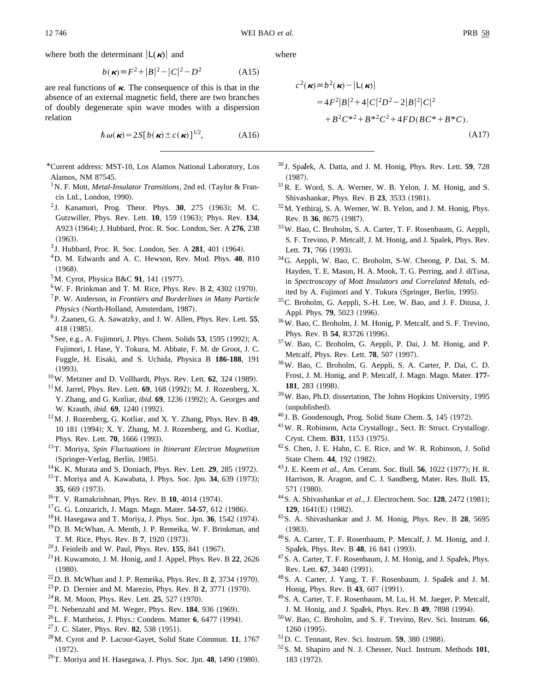where both the determinant  $|L(\boldsymbol{\kappa})|$  and

$$
b(\kappa) \equiv F^2 + |B|^2 - |C|^2 - D^2 \tag{A15}
$$

are real functions of  $\kappa$ . The consequence of this is that in the absence of an external magnetic field, there are two branches of doubly degenerate spin wave modes with a dispersion relation

$$
\hbar \omega(\mathbf{\kappa}) = 2S[b(\mathbf{\kappa}) \pm c(\mathbf{\kappa})]^{1/2},
$$
 (A16)

\*Current address: MST-10, Los Alamos National Laboratory, Los Alamos, NM 87545.

- <sup>1</sup> N. F. Mott, *Metal-Insulator Transitions*, 2nd ed. (Taylor & Francis Ltd., London, 1990).
- <sup>2</sup> J. Kanamori, Prog. Theor. Phys. **30**, 275 (1963); M. C. Gutzwiller, Phys. Rev. Lett. **10**, 159 (1963); Phys. Rev. **134**, A923 (1964); J. Hubbard, Proc. R. Soc. London, Ser. A 276, 238  $(1963).$
- <sup>3</sup> J. Hubbard, Proc. R. Soc. London, Ser. A **281**, 401 (1964).
- 4D. M. Edwards and A. C. Hewson, Rev. Mod. Phys. **40**, 810  $(1968).$
- <sup>5</sup>M. Cyrot, Physica B&C 91, 141 (1977).
- $6$ W. F. Brinkman and T. M. Rice, Phys. Rev. B 2, 4302 (1970).
- 7P. W. Anderson, in *Frontiers and Borderlines in Many Particle Physics* (North-Holland, Amsterdam, 1987).
- <sup>8</sup> J. Zaanen, G. A. Sawatzky, and J. W. Allen, Phys. Rev. Lett. **55**, 418 (1985).
- <sup>9</sup> See, e.g., A. Fujimori, J. Phys. Chem. Solids 53, 1595 (1992); A. Fujimori, I. Hase, Y. Tokura, M. Abbate, F. M. de Groot, J. C. Fuggle, H. Eisaki, and S. Uchida, Physica B **186-188**, 191  $(1993).$
- $10$ W. Metzner and D. Vollhardt, Phys. Rev. Lett.  $62$ , 324 (1989).
- $11$ M. Jarrel, Phys. Rev. Lett. **69**, 168 (1992); M. J. Rozenberg, X. Y. Zhang, and G. Kotliar, *ibid.* **69**, 1236 (1992); A. Georges and W. Krauth, *ibid.* **69**, 1240 (1992).
- 12M. J. Rozenberg, G. Kotliar, and X. Y. Zhang, Phys. Rev. B **49**, 10 181 (1994); X. Y. Zhang, M. J. Rozenberg, and G. Kotliar, Phys. Rev. Lett. **70**, 1666 (1993).
- 13T. Moriya, *Spin Fluctuations in Itinerant Electron Magnetism* (Springer-Verlag, Berlin, 1985).
- <sup>14</sup> K. K. Murata and S. Doniach, Phys. Rev. Lett. **29**, 285 (1972).
- <sup>15</sup> T. Moriya and A. Kawabata, J. Phys. Soc. Jpn. 34, 639 (1973); 35, 669 (1973).
- <sup>16</sup>T. V. Ramakrishnan, Phys. Rev. B **10**, 4014 (1974).
- <sup>17</sup>G. G. Lonzarich, J. Magn. Magn. Mater. **54-57**, 612 (1986).
- $18$  H. Hasegawa and T. Moriya, J. Phys. Soc. Jpn. 36, 1542 (1974).
- 19D. B. McWhan, A. Menth, J. P. Remeika, W. F. Brinkman, and T. M. Rice, Phys. Rev. B 7, 1920 (1973).
- <sup>20</sup> J. Feinleib and W. Paul, Phys. Rev. **155**, 841 (1967).
- 21H. Kuwamoto, J. M. Honig, and J. Appel, Phys. Rev. B **22**, 2626  $(1980).$
- $22$  D. B. McWhan and J. P. Remeika, Phys. Rev. B 2, 3734 (1970).
- <sup>23</sup> P. D. Dernier and M. Marezio, Phys. Rev. B 2, 3771 (1970).
- $24$ R. M. Moon, Phys. Rev. Lett. **25**, 527 (1970).
- $^{25}$ I. Nebenzahl and M. Weger, Phys. Rev. 184, 936  $(1969)$ .
- $^{26}$ L. F. Mattheiss, J. Phys.: Condens. Matter 6, 6477 (1994).
- <sup>27</sup> J. C. Slater, Phys. Rev. **82**, 538 (1951).
- 28M. Cyrot and P. Lacour-Gayet, Solid State Commun. **11**, 1767  $(1972).$
- $^{29}$ T. Moriya and H. Hasegawa, J. Phys. Soc. Jpn. 48, 1490 (1980).

where

$$
c^{2}(\mathbf{k}) = b^{2}(\mathbf{k}) - |\mathsf{L}(\mathbf{k})|
$$
  
= 4F<sup>2</sup>|B|<sup>2</sup> + 4|C|<sup>2</sup>D<sup>2</sup> - 2|B|<sup>2</sup>|C|<sup>2</sup>  
+ B<sup>2</sup>C<sup>\*2</sup> + B<sup>\*2</sup>C<sup>2</sup> + 4FD(BC<sup>\*</sup> + B<sup>\*</sup>C).  
(A17)

- <sup>30</sup> J. Spalek, A. Datta, and J. M. Honig, Phys. Rev. Lett. **59**, 728  $(1987).$
- 31R. E. Word, S. A. Werner, W. B. Yelon, J. M. Honig, and S. Shivashankar, Phys. Rev. B 23, 3533 (1981).
- 32M. Yethiraj, S. A. Werner, W. B. Yelon, and J. M. Honig, Phys. Rev. B 36, 8675 (1987).
- 33W. Bao, C. Broholm, S. A. Carter, T. F. Rosenbaum, G. Aeppli, S. F. Trevino, P. Metcalf, J. M. Honig, and J. Spalek, Phys. Rev. Lett. 71, 766 (1993).
- 34G. Aeppli, W. Bao, C. Broholm, S-W. Cheong, P. Dai, S. M. Hayden, T. E. Mason, H. A. Mook, T. G. Perring, and J. diTusa, in *Spectroscopy of Mott Insulators and Correlated Metals*, edited by A. Fujimori and Y. Tokura (Springer, Berlin, 1995).
- 35C. Broholm, G. Aeppli, S.-H. Lee, W. Bao, and J. F. Ditusa, J. Appl. Phys. **79**, 5023 (1996).
- 36W. Bao, C. Broholm, J. M. Honig, P. Metcalf, and S. F. Trevino, Phys. Rev. B 54, R3726 (1996).
- 37W. Bao, C. Broholm, G. Aeppli, P. Dai, J. M. Honig, and P. Metcalf, Phys. Rev. Lett. **78**, 507 (1997).
- 38W. Bao, C. Broholm, G. Aeppli, S. A. Carter, P. Dai, C. D. Frost, J. M. Honig, and P. Metcalf, J. Magn. Magn. Mater. **177-** 181, 283 (1998).
- 39W. Bao, Ph.D. dissertation, The Johns Hopkins University, 1995 (unpublished).
- <sup>40</sup> J. B. Goodenough, Prog. Solid State Chem. 5, 145 (1972).
- 41W. R. Robinson, Acta Crystallogr., Sect. B: Struct. Crystallogr. Cryst. Chem. **B31**, 1153 (1975).
- 42S. Chen, J. E. Hahn, C. E. Rice, and W. R. Robinson, J. Solid State Chem. 44, 192 (1982).
- <sup>43</sup> J. E. Keem *et al.*, Am. Ceram. Soc. Bull. **56**, 1022 (1977); H. R. Harrison, R. Aragon, and C. J. Sandberg, Mater. Res. Bull. **15**, 571 (1980).
- <sup>44</sup> S. A. Shivashankar et al., J. Electrochem. Soc. **128**, 2472 (1981); **129**, 1641(E) (1982).
- 45S. A. Shivashankar and J. M. Honig, Phys. Rev. B **28**, 5695  $(1983).$
- 46S. A. Carter, T. F. Rosenbaum, P. Metcalf, J. M. Honig, and J. Spalek, Phys. Rev. B **48**, 16 841 (1993). <sup>47</sup>S. A. Carter, T. F. Rosenbaum, J. M. Honig, and J. Spalek, Phys.
- Rev. Lett. **67**, 3440 (1991).
- <sup>48</sup> S. A. Carter, J. Yang, T. F. Rosenbaum, J. Spalek and J. M. Honig, Phys. Rev. B 43, 607 (1991).
- 49S. A. Carter, T. F. Rosenbaum, M. Lu, H. M. Jaeger, P. Metcalf, J. M. Honig, and J. Spalek, Phys. Rev. B **49**, 7898 (1994).<br><sup>50</sup>W. Bao, C. Broholm, and S. F. Trevino, Rev. Sci. Instrum. **66**,
- 1260 (1995).
- <sup>51</sup>D. C. Tennant, Rev. Sci. Instrum. **59**, 380 (1988).
- 52S. M. Shapiro and N. J. Chesser, Nucl. Instrum. Methods **101**, 183 (1972).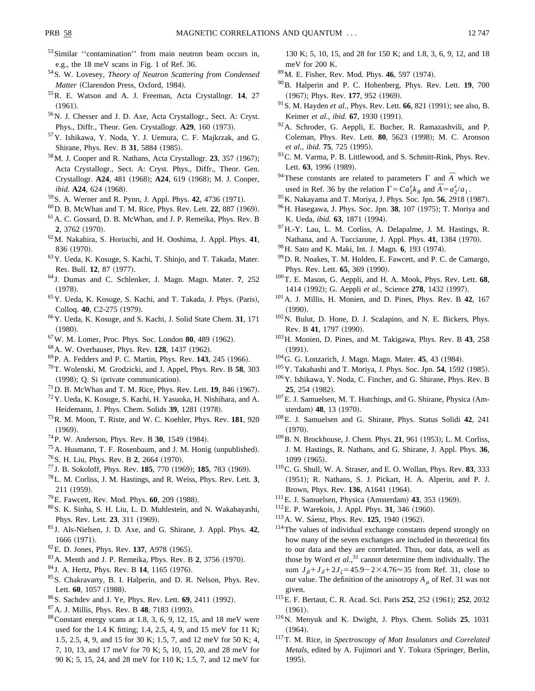- 53 Similar "contamination" from main neutron beam occurs in, e.g., the 18 meV scans in Fig. 1 of Ref. 36.
- 54S. W. Lovesey, *Theory of Neutron Scattering from Condensed Matter* (Clarendon Press, Oxford, 1984).
- 55R. E. Watson and A. J. Freeman, Acta Crystallogr. **14**, 27  $(1961).$
- 56N. J. Chesser and J. D. Axe, Acta Crystallogr., Sect. A: Cryst. Phys., Diffr., Theor. Gen. Crystallogr. **A29**, 160 (1973).
- 57Y. Ishikawa, Y. Noda, Y. J. Uemura, C. F. Majkrzak, and G. Shirane, Phys. Rev. B 31, 5884 (1985).
- <sup>58</sup> M. J. Cooper and R. Nathans, Acta Crystallogr. **23**, 357 (1967); Acta Crystallogr., Sect. A: Cryst. Phys., Diffr., Theor. Gen. Crystallogr. **A24**, 481 (1968); **A24**, 619 (1968); M. J. Cooper, *ibid.* **A24**, 624 (1968).
- <sup>59</sup> S. A. Werner and R. Pynn, J. Appl. Phys. **42**, 4736 (1971).
- $^{60}$ D. B. McWhan and T. M. Rice, Phys. Rev. Lett. 22, 887 (1969).
- 61A. C. Gossard, D. B. McWhan, and J. P. Remeika, Phys. Rev. B 2, 3762 (1970).
- 62M. Nakahira, S. Horiuchi, and H. Ooshima, J. Appl. Phys. **41**, 836 (1970).
- 63Y. Ueda, K. Kosuge, S. Kachi, T. Shinjo, and T. Takada, Mater. Res. Bull. **12**, 87 (1977).
- <sup>64</sup> J. Dumas and C. Schlenker, J. Magn. Magn. Mater. **7**, 252  $(1978).$
- <sup>65</sup>Y. Ueda, K. Kosuge, S. Kachi, and T. Takada, J. Phys. (Paris), Colloq. **40**, C2-275 (1979).
- 66Y. Ueda, K. Kosuge, and S. Kachi, J. Solid State Chem. **31**, 171  $(1980).$
- <sup>67</sup> W. M. Lomer, Proc. Phys. Soc. London **80**, 489 (1962).
- <sup>68</sup> A. W. Overhauser, Phys. Rev. **128**, 1437 (1962).
- <sup>69</sup> P. A. Fedders and P. C. Martin, Phys. Rev. **143**, 245 (1966).
- 70T. Wolenski, M. Grodzicki, and J. Appel, Phys. Rev. B **58**, 303  $(1998); Q. Si (private communication).$
- $^{71}$ D. B. McWhan and T. M. Rice, Phys. Rev. Lett. **19**, 846 (1967).
- 72Y. Ueda, K. Kosuge, S. Kachi, H. Yasuoka, H. Nishihara, and A. Heidemann, J. Phys. Chem. Solids 39, 1281 (1978).
- 73R. M. Moon, T. Riste, and W. C. Koehler, Phys. Rev. **181**, 920  $(1969).$
- <sup>74</sup> P. W. Anderson, Phys. Rev. B **30**, 1549 (1984).
- $<sup>75</sup>$ A. Husmann, T. F. Rosenbaum, and J. M. Honig (unpublished).</sup>
- <sup>76</sup> S. H. Liu, Phys. Rev. B **2**, 2664 (1970).
- <sup>77</sup> J. B. Sokoloff, Phys. Rev. **185**, 770 (1969); **185**, 783 (1969).
- 78L. M. Corliss, J. M. Hastings, and R. Weiss, Phys. Rev. Lett. **3**, 211 (1959).
- <sup>79</sup>E. Fawcett, Rev. Mod. Phys. **60**, 209 (1988).
- 80S. K. Sinha, S. H. Liu, L. D. Muhlestein, and N. Wakabayashi, Phys. Rev. Lett. **23**, 311 (1969).
- <sup>81</sup> J. Als-Nielsen, J. D. Axe, and G. Shirane, J. Appl. Phys. **42**, 1666 (1971).
- ${}^{82}$ E. D. Jones, Phys. Rev. 137, A978 (1965).
- <sup>83</sup> A. Menth and J. P. Remeika, Phys. Rev. B 2, 3756 (1970).
- <sup>84</sup> J. A. Hertz, Phys. Rev. B 14, 1165 (1976).
- 85S. Chakravarty, B. I. Halperin, and D. R. Nelson, Phys. Rev. Lett. 60, 1057 (1988).
- <sup>86</sup>S. Sachdev and J. Ye, Phys. Rev. Lett. **69**, 2411 (1992).
- <sup>87</sup> A. J. Millis, Phys. Rev. B **48**, 7183 (1993).
- $88$ Constant energy scans at 1.8, 3, 6, 9, 12, 15, and 18 meV were used for the 1.4 K fitting; 1.4, 2.5, 4, 9, and 15 meV for 11 K; 1.5, 2.5, 4, 9, and 15 for 30 K; 1.5, 7, and 12 meV for 50 K; 4, 7, 10, 13, and 17 meV for 70 K; 5, 10, 15, 20, and 28 meV for 90 K; 5, 15, 24, and 28 meV for 110 K; 1.5, 7, and 12 meV for

130 K; 5, 10, 15, and 28 for 150 K; and 1.8, 3, 6, 9, 12, and 18 meV for 200 K.

- <sup>89</sup> M. E. Fisher, Rev. Mod. Phys. **46**, 597 (1974).
- 90B. Halperin and P. C. Hohenberg, Phys. Rev. Lett. **19**, 700 (1967); Phys. Rev. 177, 952 (1969).
- <sup>91</sup> S. M. Hayden *et al.*, Phys. Rev. Lett. **66**, 821 (1991); see also, B. Keimer et al., *ibid.* **67**, 1930 (1991).
- 92A. Schroder, G. Aeppli, E. Bucher, R. Ramazashvili, and P. Coleman, Phys. Rev. Lett. **80**, 5623 (1998); M. C. Aronson *et al., ibid.* **75**, 725 (1995).
- <sup>93</sup> C. M. Varma, P. B. Littlewood, and S. Schmitt-Rink, Phys. Rev. Lett. **63**, 1996 (1989).
- <sup>94</sup>These constants are related to parameters  $\Gamma$  and  $\overline{A}$  which we used in Ref. 36 by the relation  $\Gamma = C a_2^z k_B$  and  $\overline{A} = a_2^z$
- <sup>95</sup> K. Nakayama and T. Moriya, J. Phys. Soc. Jpn. 56, 2918 (1987).
- <sup>96</sup>H. Hasegawa, J. Phys. Soc. Jpn. **38**, 107 (1975); T. Moriya and K. Ueda, *ibid.* **63**, 1871 (1994).
- 97H.-Y. Lau, L. M. Corliss, A. Delapalme, J. M. Hastings, R. Nathana, and A. Tucciarone, J. Appl. Phys. 41, 1384 (1970).
- <sup>98</sup> H. Sato and K. Maki, Int. J. Magn. **6**, 193 (1974).
- 99D. R. Noakes, T. M. Holden, E. Fawcett, and P. C. de Camargo, Phys. Rev. Lett. **65**, 369 (1990).
- 100T. E. Mason, G. Aeppli, and H. A. Mook, Phys. Rev. Lett. **68**, 1414 (1992); G. Aeppli *et al.*, Science 278, 1432 (1997).
- 101A. J. Millis, H. Monien, and D. Pines, Phys. Rev. B **42**, 167  $(1990).$
- 102N. Bulut, D. Hone, D. J. Scalapino, and N. E. Bickers, Phys. Rev. B 41, 1797 (1990).
- 103H. Monien, D. Pines, and M. Takigawa, Phys. Rev. B **43**, 258  $(1991).$
- <sup>104</sup> G. G. Lonzarich, J. Magn. Magn. Mater. **45**, 43 (1984).
- <sup>105</sup> Y. Takahashi and T. Moriya, J. Phys. Soc. Jpn. **54**, 1592 (1985).
- 106Y. Ishikawa, Y. Noda, C. Fincher, and G. Shirane, Phys. Rev. B 25, 254 (1982).
- $107$  E. J. Samuelsen, M. T. Hutchings, and G. Shirane, Physica (Amsterdam) 48, 13 (1970).
- 108E. J. Samuelsen and G. Shirane, Phys. Status Solidi **42**, 241  $(1970).$
- <sup>109</sup> B. N. Brockhouse, J. Chem. Phys. **21**, 961 (1953); L. M. Corliss, J. M. Hastings, R. Nathans, and G. Shirane, J. Appl. Phys. **36**, 1099 (1965).
- 110C. G. Shull, W. A. Straser, and E. O. Wollan, Phys. Rev. **83**, 333 ~1951!; R. Nathans, S. J. Pickart, H. A. Alperin, and P. J. Brown, Phys. Rev. 136, A1641 (1964).
- $111$ E. J. Samuelsen, Physica (Amsterdam) **43**, 353 (1969).
- $112$ E. P. Warekois, J. Appl. Phys. **31**, 346 (1960).
- <sup>113</sup> A. W. Sáenz, Phys. Rev. **125**, 1940 (1962).
- 114The values of individual exchange constants depend strongly on how many of the seven exchanges are included in theoretical fits to our data and they are correlated. Thus, our data, as well as those by Word *et al.*, <sup>31</sup> cannot determine them individually. The sum  $J_{\beta} + J_{\delta} + 2J_{\zeta} = 45.9 - 2 \times 4.76 \approx 35$  from Ref. 31, close to our value. The definition of the anisotropy  $A<sub>u</sub>$  of Ref. 31 was not given.
- <sup>115</sup>E. F. Bertaut, C. R. Acad. Sci. Paris **252**, 252 (1961); **252**, 2032  $(1961).$
- 116N. Menyuk and K. Dwight, J. Phys. Chem. Solids **25**, 1031  $(1964).$
- 117T. M. Rice, in *Spectroscopy of Mott Insulators and Correlated Metals*, edited by A. Fujimori and Y. Tokura (Springer, Berlin, 1995).